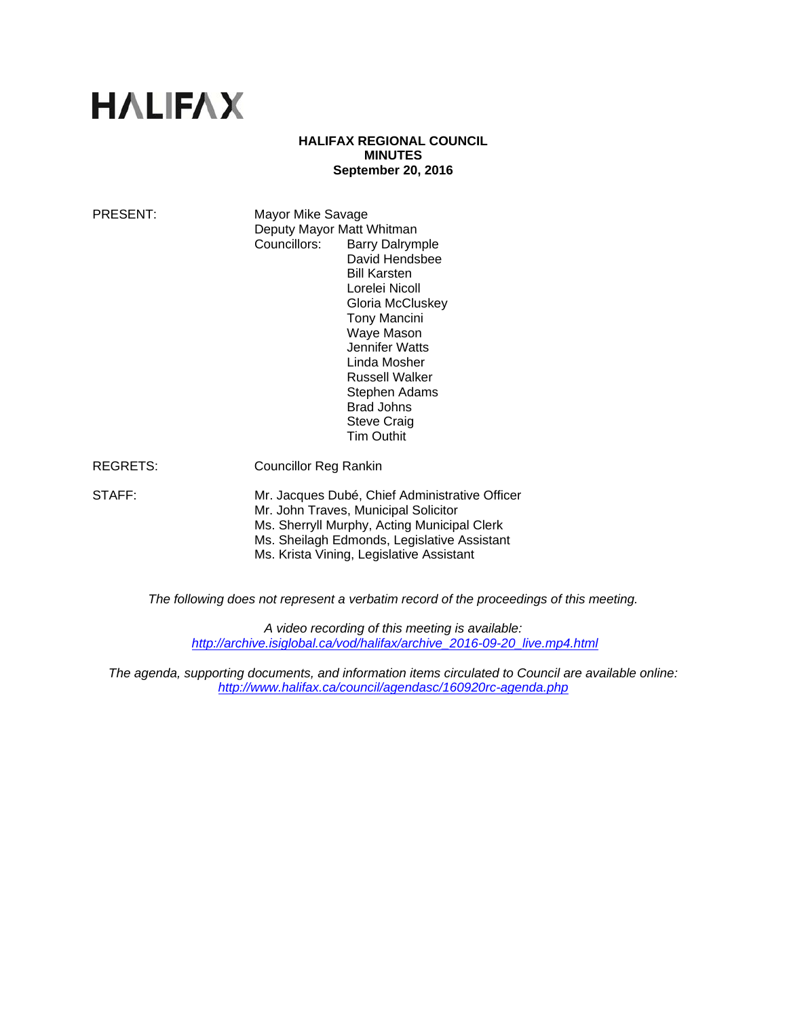# **HALIFAX**

#### **HALIFAX REGIONAL COUNCIL MINUTES September 20, 2016**

| PRESENT: | Mayor Mike Savage<br>Deputy Mayor Matt Whitman<br>Councillors:<br><b>Barry Dalrymple</b><br>David Hendsbee<br><b>Bill Karsten</b><br>Lorelei Nicoll<br>Gloria McCluskey<br>Tony Mancini<br>Waye Mason<br>Jennifer Watts<br>Linda Mosher<br><b>Russell Walker</b><br>Stephen Adams<br>Brad Johns<br><b>Steve Craig</b><br><b>Tim Outhit</b> |
|----------|--------------------------------------------------------------------------------------------------------------------------------------------------------------------------------------------------------------------------------------------------------------------------------------------------------------------------------------------|
| REGRETS: | Councillor Reg Rankin                                                                                                                                                                                                                                                                                                                      |
| STAFF:   | Mr. Jacques Dubé, Chief Administrative Officer<br>Mr. John Traves, Municipal Solicitor<br>Ms. Sherryll Murphy, Acting Municipal Clerk<br>Ms. Sheilagh Edmonds, Legislative Assistant<br>Ms. Krista Vining, Legislative Assistant                                                                                                           |

*The following does not represent a verbatim record of the proceedings of this meeting.* 

*A video recording of this meeting is available: http://archive.isiglobal.ca/vod/halifax/archive\_2016-09-20\_live.mp4.html*

*The agenda, supporting documents, and information items circulated to Council are available online: http://www.halifax.ca/council/agendasc/160920rc-agenda.php*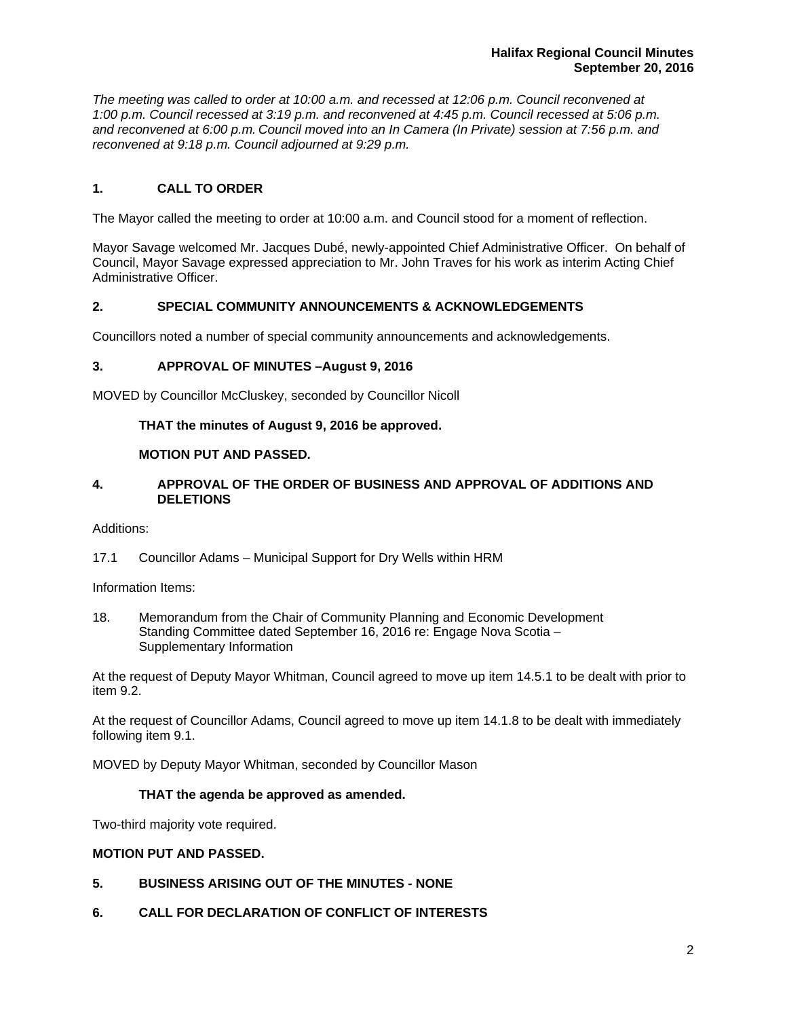*The meeting was called to order at 10:00 a.m. and recessed at 12:06 p.m. Council reconvened at 1:00 p.m. Council recessed at 3:19 p.m. and reconvened at 4:45 p.m. Council recessed at 5:06 p.m. and reconvened at 6:00 p.m. Council moved into an In Camera (In Private) session at 7:56 p.m. and reconvened at 9:18 p.m. Council adjourned at 9:29 p.m.*

# **1. CALL TO ORDER**

The Mayor called the meeting to order at 10:00 a.m. and Council stood for a moment of reflection.

Mayor Savage welcomed Mr. Jacques Dubé, newly-appointed Chief Administrative Officer. On behalf of Council, Mayor Savage expressed appreciation to Mr. John Traves for his work as interim Acting Chief Administrative Officer.

# **2. SPECIAL COMMUNITY ANNOUNCEMENTS & ACKNOWLEDGEMENTS**

Councillors noted a number of special community announcements and acknowledgements.

#### **3. APPROVAL OF MINUTES –August 9, 2016**

MOVED by Councillor McCluskey, seconded by Councillor Nicoll

# **THAT the minutes of August 9, 2016 be approved.**

#### **MOTION PUT AND PASSED.**

## **4. APPROVAL OF THE ORDER OF BUSINESS AND APPROVAL OF ADDITIONS AND DELETIONS**

#### Additions:

17.1 Councillor Adams – Municipal Support for Dry Wells within HRM

Information Items:

18. Memorandum from the Chair of Community Planning and Economic Development Standing Committee dated September 16, 2016 re: Engage Nova Scotia – Supplementary Information

At the request of Deputy Mayor Whitman, Council agreed to move up item 14.5.1 to be dealt with prior to item 9.2.

At the request of Councillor Adams, Council agreed to move up item 14.1.8 to be dealt with immediately following item 9.1.

MOVED by Deputy Mayor Whitman, seconded by Councillor Mason

#### **THAT the agenda be approved as amended.**

Two-third majority vote required.

#### **MOTION PUT AND PASSED.**

- **5. BUSINESS ARISING OUT OF THE MINUTES NONE**
- **6. CALL FOR DECLARATION OF CONFLICT OF INTERESTS**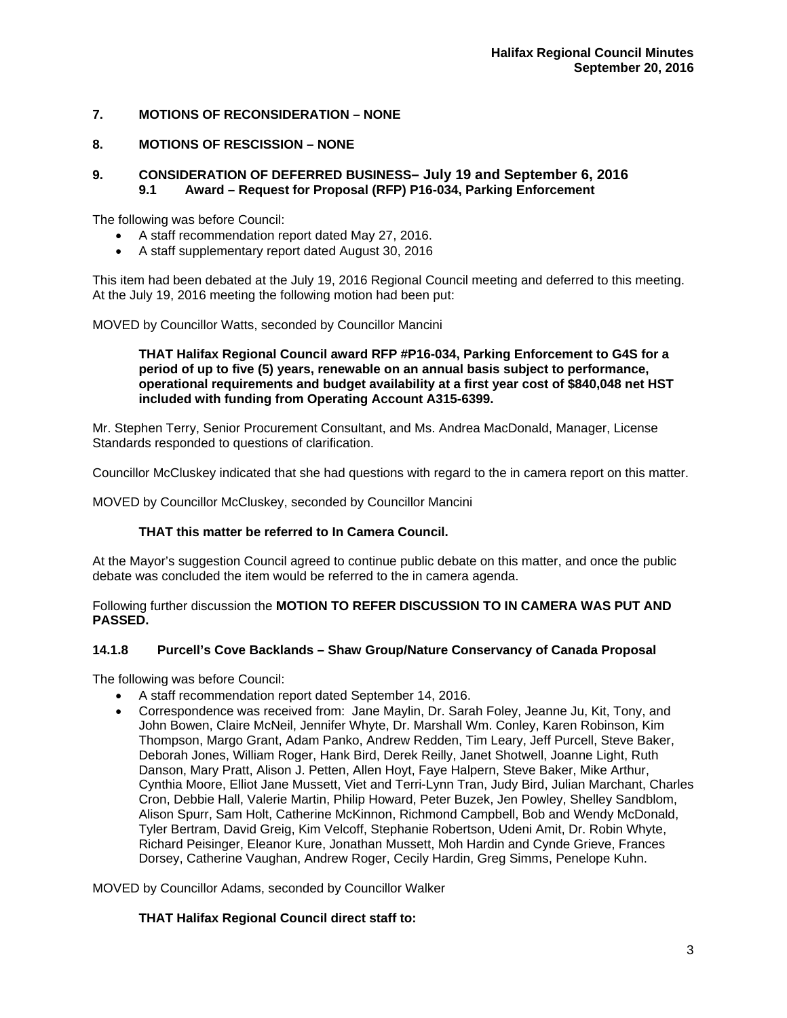# **7. MOTIONS OF RECONSIDERATION – NONE**

# **8. MOTIONS OF RESCISSION – NONE**

# **9. CONSIDERATION OF DEFERRED BUSINESS– July 19 and September 6, 2016 9.1 Award – Request for Proposal (RFP) P16-034, Parking Enforcement**

The following was before Council:

- A staff recommendation report dated May 27, 2016.
- A staff supplementary report dated August 30, 2016

This item had been debated at the July 19, 2016 Regional Council meeting and deferred to this meeting. At the July 19, 2016 meeting the following motion had been put:

MOVED by Councillor Watts, seconded by Councillor Mancini

#### **THAT Halifax Regional Council award RFP #P16-034, Parking Enforcement to G4S for a period of up to five (5) years, renewable on an annual basis subject to performance, operational requirements and budget availability at a first year cost of \$840,048 net HST included with funding from Operating Account A315-6399.**

Mr. Stephen Terry, Senior Procurement Consultant, and Ms. Andrea MacDonald, Manager, License Standards responded to questions of clarification.

Councillor McCluskey indicated that she had questions with regard to the in camera report on this matter.

MOVED by Councillor McCluskey, seconded by Councillor Mancini

#### **THAT this matter be referred to In Camera Council.**

At the Mayor's suggestion Council agreed to continue public debate on this matter, and once the public debate was concluded the item would be referred to the in camera agenda.

Following further discussion the **MOTION TO REFER DISCUSSION TO IN CAMERA WAS PUT AND PASSED.** 

# **14.1.8 Purcell's Cove Backlands – Shaw Group/Nature Conservancy of Canada Proposal**

The following was before Council:

- A staff recommendation report dated September 14, 2016.
- Correspondence was received from: Jane Maylin, Dr. Sarah Foley, Jeanne Ju, Kit, Tony, and John Bowen, Claire McNeil, Jennifer Whyte, Dr. Marshall Wm. Conley, Karen Robinson, Kim Thompson, Margo Grant, Adam Panko, Andrew Redden, Tim Leary, Jeff Purcell, Steve Baker, Deborah Jones, William Roger, Hank Bird, Derek Reilly, Janet Shotwell, Joanne Light, Ruth Danson, Mary Pratt, Alison J. Petten, Allen Hoyt, Faye Halpern, Steve Baker, Mike Arthur, Cynthia Moore, Elliot Jane Mussett, Viet and Terri-Lynn Tran, Judy Bird, Julian Marchant, Charles Cron, Debbie Hall, Valerie Martin, Philip Howard, Peter Buzek, Jen Powley, Shelley Sandblom, Alison Spurr, Sam Holt, Catherine McKinnon, Richmond Campbell, Bob and Wendy McDonald, Tyler Bertram, David Greig, Kim Velcoff, Stephanie Robertson, Udeni Amit, Dr. Robin Whyte, Richard Peisinger, Eleanor Kure, Jonathan Mussett, Moh Hardin and Cynde Grieve, Frances Dorsey, Catherine Vaughan, Andrew Roger, Cecily Hardin, Greg Simms, Penelope Kuhn.

MOVED by Councillor Adams, seconded by Councillor Walker

#### **THAT Halifax Regional Council direct staff to:**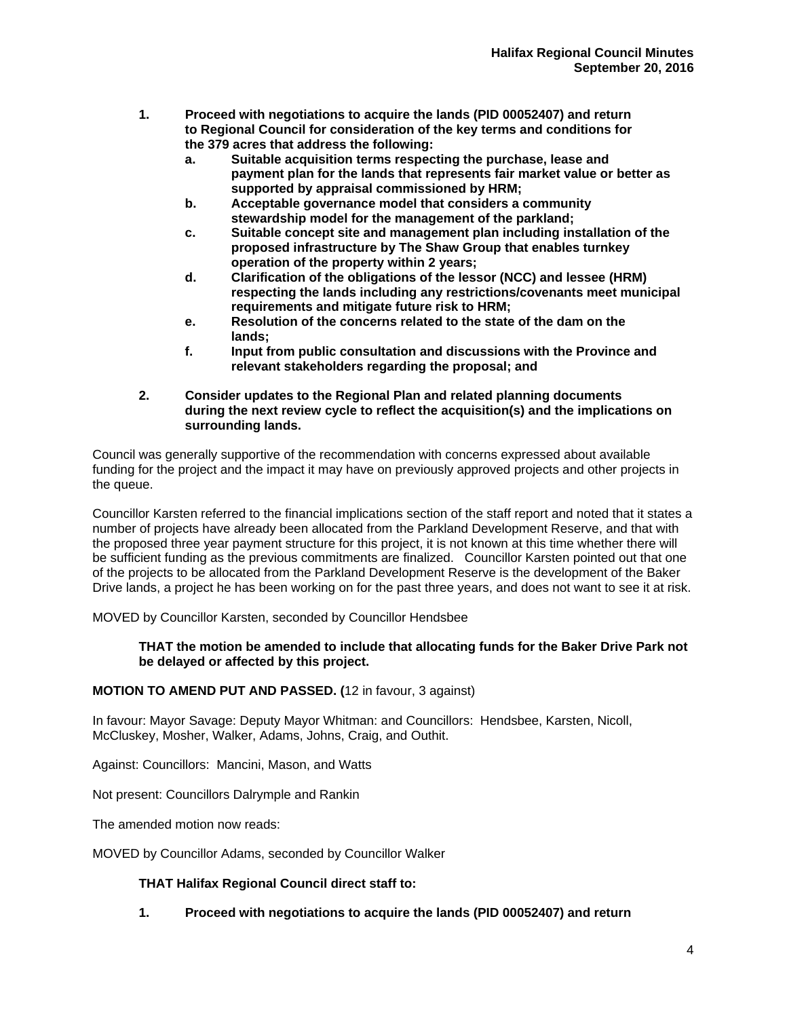- **1. Proceed with negotiations to acquire the lands (PID 00052407) and return to Regional Council for consideration of the key terms and conditions for the 379 acres that address the following:** 
	- **a. Suitable acquisition terms respecting the purchase, lease and payment plan for the lands that represents fair market value or better as supported by appraisal commissioned by HRM;**
	- **b. Acceptable governance model that considers a community stewardship model for the management of the parkland;**
	- **c. Suitable concept site and management plan including installation of the proposed infrastructure by The Shaw Group that enables turnkey conduced by operation of the property within 2 years;**<br>**d.** Clarification of the obligations of the less
	- **Clarification of the obligations of the lessor (NCC) and lessee (HRM) respecting the lands including any restrictions/covenants meet municipal requirements and mitigate future risk to HRM;**
	- **e. Resolution of the concerns related to the state of the dam on the lands;**
	- **f. Input from public consultation and discussions with the Province and relevant stakeholders regarding the proposal; and**
- **2. Consider updates to the Regional Plan and related planning documents during the next review cycle to reflect the acquisition(s) and the implications on surrounding lands.**

Council was generally supportive of the recommendation with concerns expressed about available funding for the project and the impact it may have on previously approved projects and other projects in the queue.

Councillor Karsten referred to the financial implications section of the staff report and noted that it states a number of projects have already been allocated from the Parkland Development Reserve, and that with the proposed three year payment structure for this project, it is not known at this time whether there will be sufficient funding as the previous commitments are finalized. Councillor Karsten pointed out that one of the projects to be allocated from the Parkland Development Reserve is the development of the Baker Drive lands, a project he has been working on for the past three years, and does not want to see it at risk.

MOVED by Councillor Karsten, seconded by Councillor Hendsbee

# **THAT the motion be amended to include that allocating funds for the Baker Drive Park not be delayed or affected by this project.**

# **MOTION TO AMEND PUT AND PASSED. (**12 in favour, 3 against)

In favour: Mayor Savage: Deputy Mayor Whitman: and Councillors: Hendsbee, Karsten, Nicoll, McCluskey, Mosher, Walker, Adams, Johns, Craig, and Outhit.

Against: Councillors: Mancini, Mason, and Watts

Not present: Councillors Dalrymple and Rankin

The amended motion now reads:

MOVED by Councillor Adams, seconded by Councillor Walker

# **THAT Halifax Regional Council direct staff to:**

# **1. Proceed with negotiations to acquire the lands (PID 00052407) and return**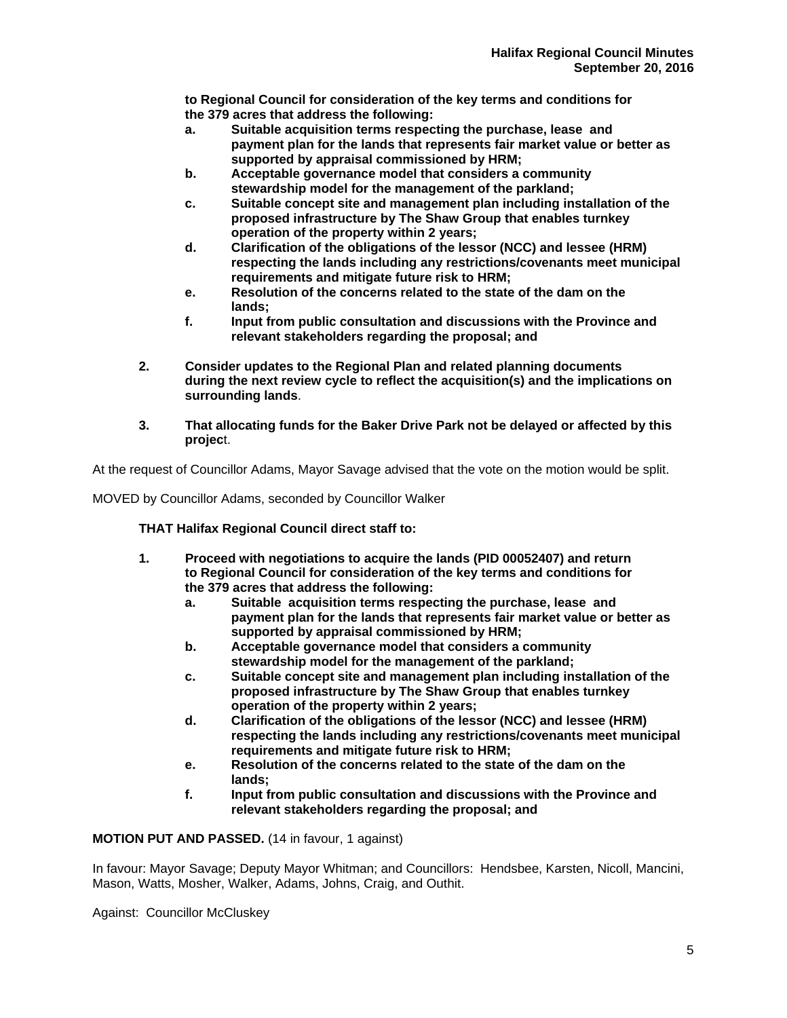**to Regional Council for consideration of the key terms and conditions for the 379 acres that address the following:** 

- **a. Suitable acquisition terms respecting the purchase, lease and payment plan for the lands that represents fair market value or better as supported by appraisal commissioned by HRM;**
- **b. Acceptable governance model that considers a community stewardship model for the management of the parkland;**
- **c. Suitable concept site and management plan including installation of the proposed infrastructure by The Shaw Group that enables turnkey operation of the property within 2 years;**
- **d. Clarification of the obligations of the lessor (NCC) and lessee (HRM) respecting the lands including any restrictions/covenants meet municipal requirements and mitigate future risk to HRM;**
- **e. Resolution of the concerns related to the state of the dam on the lands;**
- **f. Input from public consultation and discussions with the Province and relevant stakeholders regarding the proposal; and**
- **2. Consider updates to the Regional Plan and related planning documents during the next review cycle to reflect the acquisition(s) and the implications on surrounding lands**.
- **3. That allocating funds for the Baker Drive Park not be delayed or affected by this projec**t.

At the request of Councillor Adams, Mayor Savage advised that the vote on the motion would be split.

MOVED by Councillor Adams, seconded by Councillor Walker

 **THAT Halifax Regional Council direct staff to:** 

- **1. Proceed with negotiations to acquire the lands (PID 00052407) and return to Regional Council for consideration of the key terms and conditions for the 379 acres that address the following:** 
	- **a. Suitable acquisition terms respecting the purchase, lease and payment plan for the lands that represents fair market value or better as supported by appraisal commissioned by HRM;**
	- **b. Acceptable governance model that considers a community stewardship model for the management of the parkland;**
	- **c. Suitable concept site and management plan including installation of the proposed infrastructure by The Shaw Group that enables turnkey conduced by operation of the property within 2 years;**<br>**d.** Clarification of the obligations of the less
	- **Clarification of the obligations of the lessor (NCC) and lessee (HRM) respecting the lands including any restrictions/covenants meet municipal requirements and mitigate future risk to HRM;**
	- **e. Resolution of the concerns related to the state of the dam on the lands;**
	- **f. Input from public consultation and discussions with the Province and relevant stakeholders regarding the proposal; and**

**MOTION PUT AND PASSED.** (14 in favour, 1 against)

In favour: Mayor Savage; Deputy Mayor Whitman; and Councillors: Hendsbee, Karsten, Nicoll, Mancini, Mason, Watts, Mosher, Walker, Adams, Johns, Craig, and Outhit.

Against: Councillor McCluskey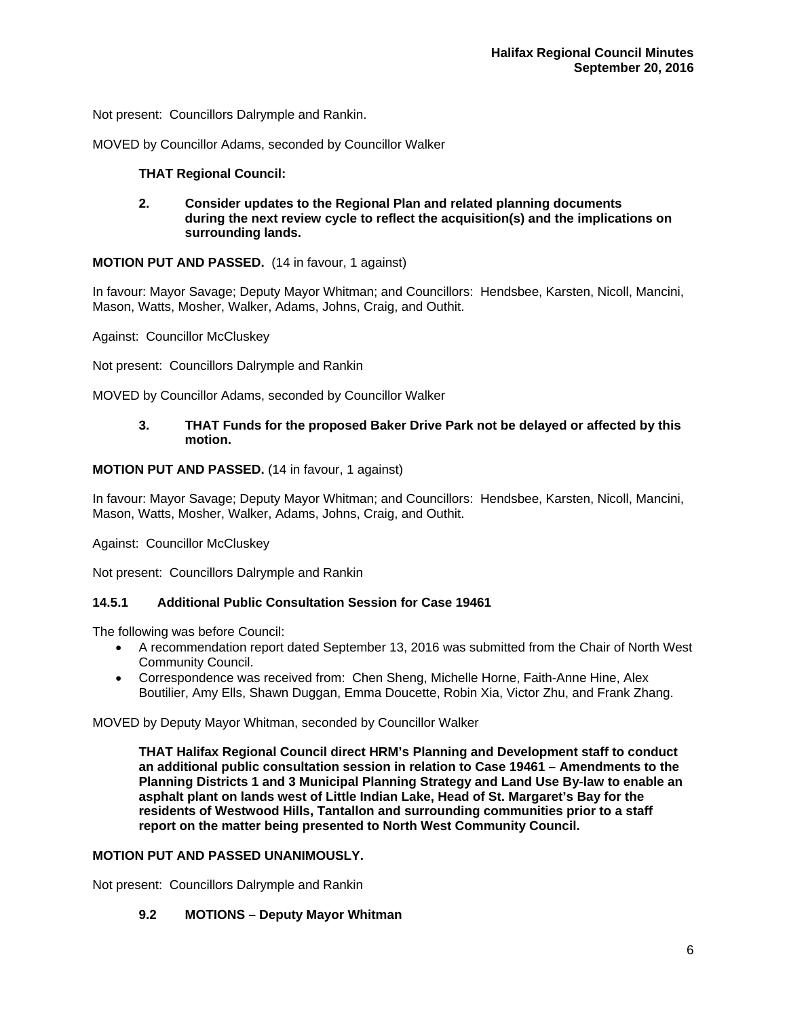Not present: Councillors Dalrymple and Rankin.

MOVED by Councillor Adams, seconded by Councillor Walker

# **THAT Regional Council:**

 **2. Consider updates to the Regional Plan and related planning documents during the next review cycle to reflect the acquisition(s) and the implications on surrounding lands.** 

**MOTION PUT AND PASSED.** (14 in favour, 1 against)

In favour: Mayor Savage; Deputy Mayor Whitman; and Councillors: Hendsbee, Karsten, Nicoll, Mancini, Mason, Watts, Mosher, Walker, Adams, Johns, Craig, and Outhit.

Against: Councillor McCluskey

Not present: Councillors Dalrymple and Rankin

MOVED by Councillor Adams, seconded by Councillor Walker

# **3. THAT Funds for the proposed Baker Drive Park not be delayed or affected by this motion.**

# **MOTION PUT AND PASSED.** (14 in favour, 1 against)

In favour: Mayor Savage; Deputy Mayor Whitman; and Councillors: Hendsbee, Karsten, Nicoll, Mancini, Mason, Watts, Mosher, Walker, Adams, Johns, Craig, and Outhit.

Against: Councillor McCluskey

Not present: Councillors Dalrymple and Rankin

## **14.5.1 Additional Public Consultation Session for Case 19461**

The following was before Council:

- A recommendation report dated September 13, 2016 was submitted from the Chair of North West Community Council.
- Correspondence was received from: Chen Sheng, Michelle Horne, Faith-Anne Hine, Alex Boutilier, Amy Ells, Shawn Duggan, Emma Doucette, Robin Xia, Victor Zhu, and Frank Zhang.

MOVED by Deputy Mayor Whitman, seconded by Councillor Walker

**THAT Halifax Regional Council direct HRM's Planning and Development staff to conduct an additional public consultation session in relation to Case 19461 – Amendments to the Planning Districts 1 and 3 Municipal Planning Strategy and Land Use By-law to enable an asphalt plant on lands west of Little Indian Lake, Head of St. Margaret's Bay for the residents of Westwood Hills, Tantallon and surrounding communities prior to a staff report on the matter being presented to North West Community Council.** 

## **MOTION PUT AND PASSED UNANIMOUSLY.**

Not present: Councillors Dalrymple and Rankin

#### **9.2 MOTIONS – Deputy Mayor Whitman**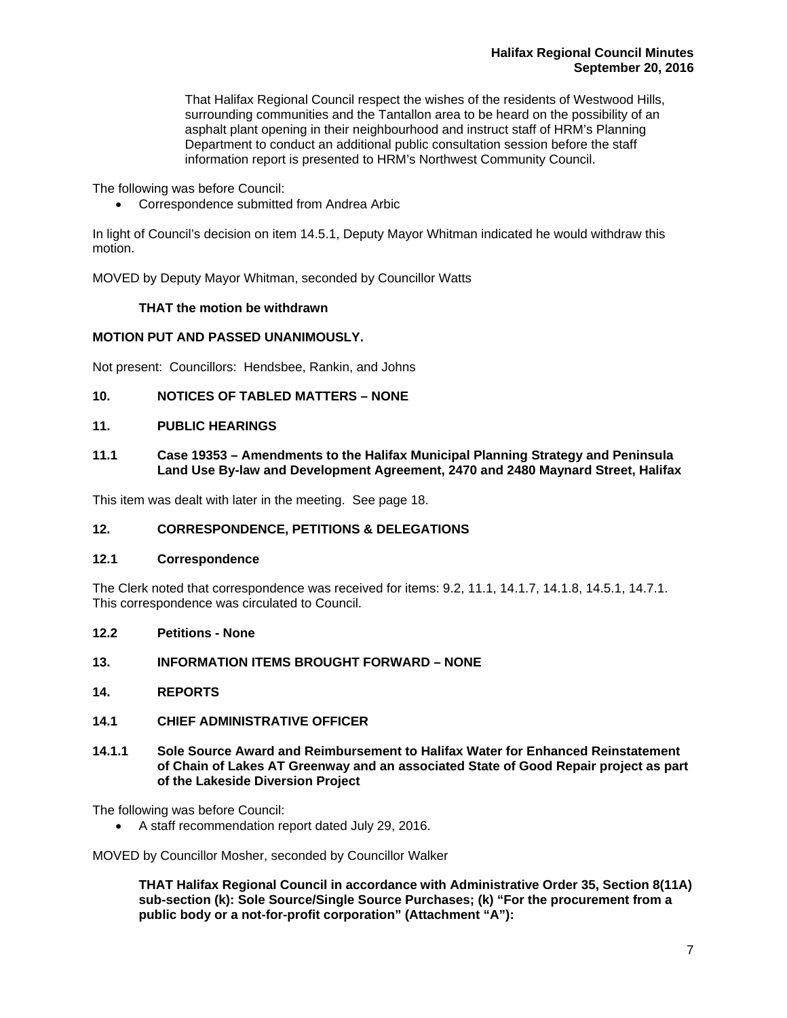That Halifax Regional Council respect the wishes of the residents of Westwood Hills, surrounding communities and the Tantallon area to be heard on the possibility of an asphalt plant opening in their neighbourhood and instruct staff of HRM's Planning Department to conduct an additional public consultation session before the staff information report is presented to HRM's Northwest Community Council.

The following was before Council:

Correspondence submitted from Andrea Arbic

In light of Council's decision on item 14.5.1, Deputy Mayor Whitman indicated he would withdraw this motion.

MOVED by Deputy Mayor Whitman, seconded by Councillor Watts

# **THAT the motion be withdrawn**

# **MOTION PUT AND PASSED UNANIMOUSLY.**

Not present: Councillors: Hendsbee, Rankin, and Johns

# **10. NOTICES OF TABLED MATTERS – NONE**

## **11. PUBLIC HEARINGS**

**11.1 Case 19353 – Amendments to the Halifax Municipal Planning Strategy and Peninsula Land Use By-law and Development Agreement, 2470 and 2480 Maynard Street, Halifax** 

This item was dealt with later in the meeting. See page 18.

# **12. CORRESPONDENCE, PETITIONS & DELEGATIONS**

#### **12.1 Correspondence**

The Clerk noted that correspondence was received for items: 9.2, 11.1, 14.1.7, 14.1.8, 14.5.1, 14.7.1. This correspondence was circulated to Council.

**12.2 Petitions - None** 

#### **13. INFORMATION ITEMS BROUGHT FORWARD – NONE**

**14. REPORTS** 

# **14.1 CHIEF ADMINISTRATIVE OFFICER**

**14.1.1 Sole Source Award and Reimbursement to Halifax Water for Enhanced Reinstatement of Chain of Lakes AT Greenway and an associated State of Good Repair project as part of the Lakeside Diversion Project** 

The following was before Council:

A staff recommendation report dated July 29, 2016.

MOVED by Councillor Mosher, seconded by Councillor Walker

**THAT Halifax Regional Council in accordance with Administrative Order 35, Section 8(11A) sub-section (k): Sole Source/Single Source Purchases; (k) "For the procurement from a public body or a not-for-profit corporation" (Attachment "A"):**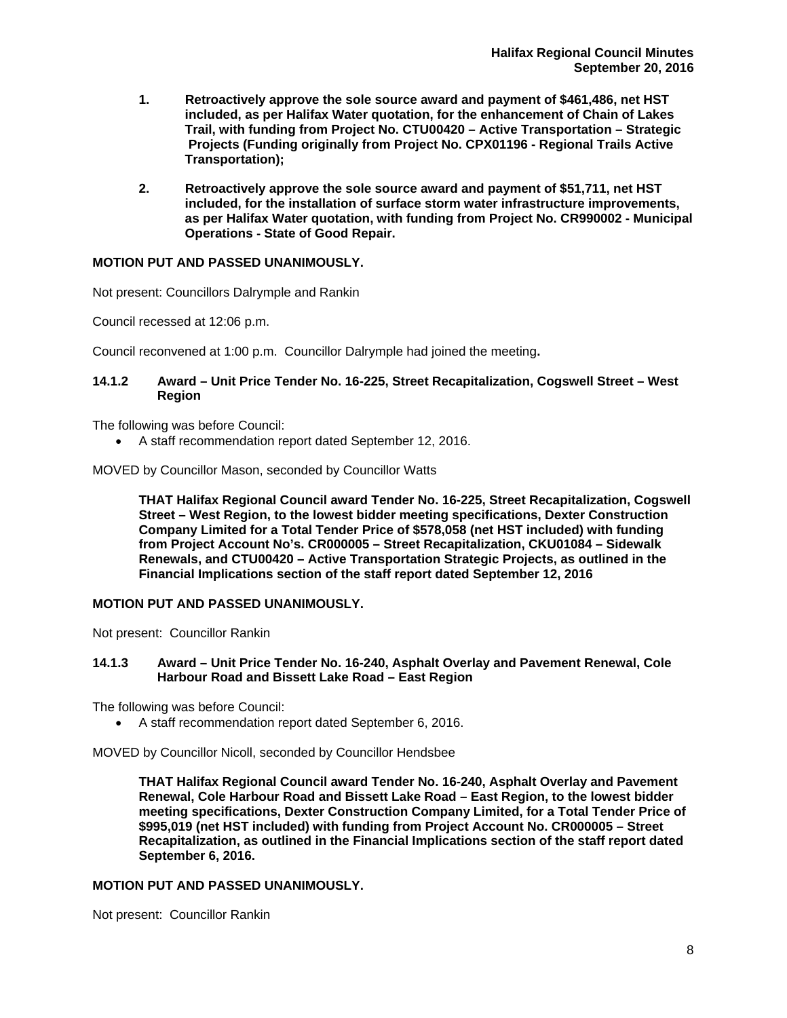- **1. Retroactively approve the sole source award and payment of \$461,486, net HST included, as per Halifax Water quotation, for the enhancement of Chain of Lakes Trail, with funding from Project No. CTU00420 – Active Transportation – Strategic Projects (Funding originally from Project No. CPX01196 - Regional Trails Active Transportation);**
- **2. Retroactively approve the sole source award and payment of \$51,711, net HST included, for the installation of surface storm water infrastructure improvements, as per Halifax Water quotation, with funding from Project No. CR990002 - Municipal Operations** ‐ **State of Good Repair.**

#### **MOTION PUT AND PASSED UNANIMOUSLY.**

Not present: Councillors Dalrymple and Rankin

Council recessed at 12:06 p.m.

Council reconvened at 1:00 p.m. Councillor Dalrymple had joined the meeting**.** 

# **14.1.2 Award – Unit Price Tender No. 16-225, Street Recapitalization, Cogswell Street – West Region**

The following was before Council:

A staff recommendation report dated September 12, 2016.

MOVED by Councillor Mason, seconded by Councillor Watts

**THAT Halifax Regional Council award Tender No. 16-225, Street Recapitalization, Cogswell Street – West Region, to the lowest bidder meeting specifications, Dexter Construction Company Limited for a Total Tender Price of \$578,058 (net HST included) with funding from Project Account No's. CR000005 – Street Recapitalization, CKU01084 – Sidewalk Renewals, and CTU00420 – Active Transportation Strategic Projects, as outlined in the Financial Implications section of the staff report dated September 12, 2016** 

#### **MOTION PUT AND PASSED UNANIMOUSLY.**

Not present: Councillor Rankin

# **14.1.3 Award – Unit Price Tender No. 16-240, Asphalt Overlay and Pavement Renewal, Cole Harbour Road and Bissett Lake Road – East Region**

The following was before Council:

A staff recommendation report dated September 6, 2016.

MOVED by Councillor Nicoll, seconded by Councillor Hendsbee

**THAT Halifax Regional Council award Tender No. 16-240, Asphalt Overlay and Pavement Renewal, Cole Harbour Road and Bissett Lake Road – East Region, to the lowest bidder meeting specifications, Dexter Construction Company Limited, for a Total Tender Price of \$995,019 (net HST included) with funding from Project Account No. CR000005 – Street Recapitalization, as outlined in the Financial Implications section of the staff report dated September 6, 2016.** 

#### **MOTION PUT AND PASSED UNANIMOUSLY.**

Not present: Councillor Rankin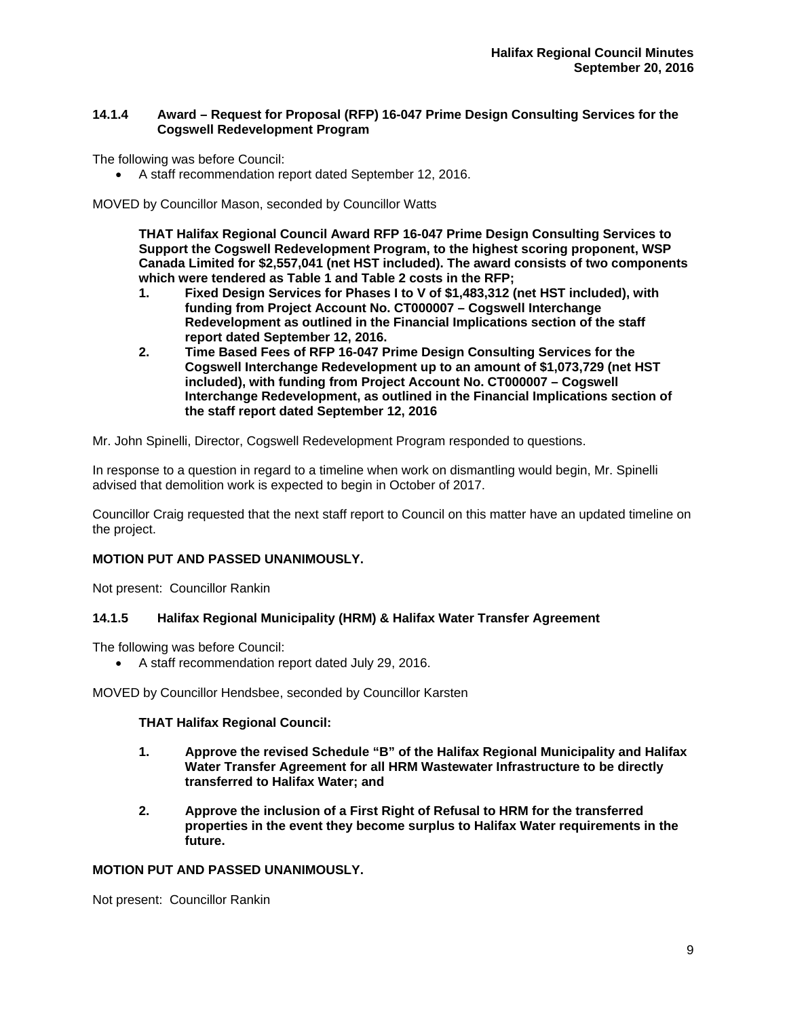## **14.1.4 Award – Request for Proposal (RFP) 16-047 Prime Design Consulting Services for the Cogswell Redevelopment Program**

The following was before Council:

A staff recommendation report dated September 12, 2016.

MOVED by Councillor Mason, seconded by Councillor Watts

**THAT Halifax Regional Council Award RFP 16-047 Prime Design Consulting Services to Support the Cogswell Redevelopment Program, to the highest scoring proponent, WSP Canada Limited for \$2,557,041 (net HST included). The award consists of two components which were tendered as Table 1 and Table 2 costs in the RFP;** 

- **1. Fixed Design Services for Phases I to V of \$1,483,312 (net HST included), with funding from Project Account No. CT000007 – Cogswell Interchange Redevelopment as outlined in the Financial Implications section of the staff report dated September 12, 2016.**
- **2. Time Based Fees of RFP 16-047 Prime Design Consulting Services for the Cogswell Interchange Redevelopment up to an amount of \$1,073,729 (net HST included), with funding from Project Account No. CT000007 – Cogswell Interchange Redevelopment, as outlined in the Financial Implications section of the staff report dated September 12, 2016**

Mr. John Spinelli, Director, Cogswell Redevelopment Program responded to questions.

In response to a question in regard to a timeline when work on dismantling would begin, Mr. Spinelli advised that demolition work is expected to begin in October of 2017.

Councillor Craig requested that the next staff report to Council on this matter have an updated timeline on the project.

# **MOTION PUT AND PASSED UNANIMOUSLY.**

Not present: Councillor Rankin

# **14.1.5 Halifax Regional Municipality (HRM) & Halifax Water Transfer Agreement**

The following was before Council:

A staff recommendation report dated July 29, 2016.

MOVED by Councillor Hendsbee, seconded by Councillor Karsten

#### **THAT Halifax Regional Council:**

- **1. Approve the revised Schedule "B" of the Halifax Regional Municipality and Halifax Water Transfer Agreement for all HRM Wastewater Infrastructure to be directly transferred to Halifax Water; and**
- **2. Approve the inclusion of a First Right of Refusal to HRM for the transferred properties in the event they become surplus to Halifax Water requirements in the future.**

### **MOTION PUT AND PASSED UNANIMOUSLY.**

Not present: Councillor Rankin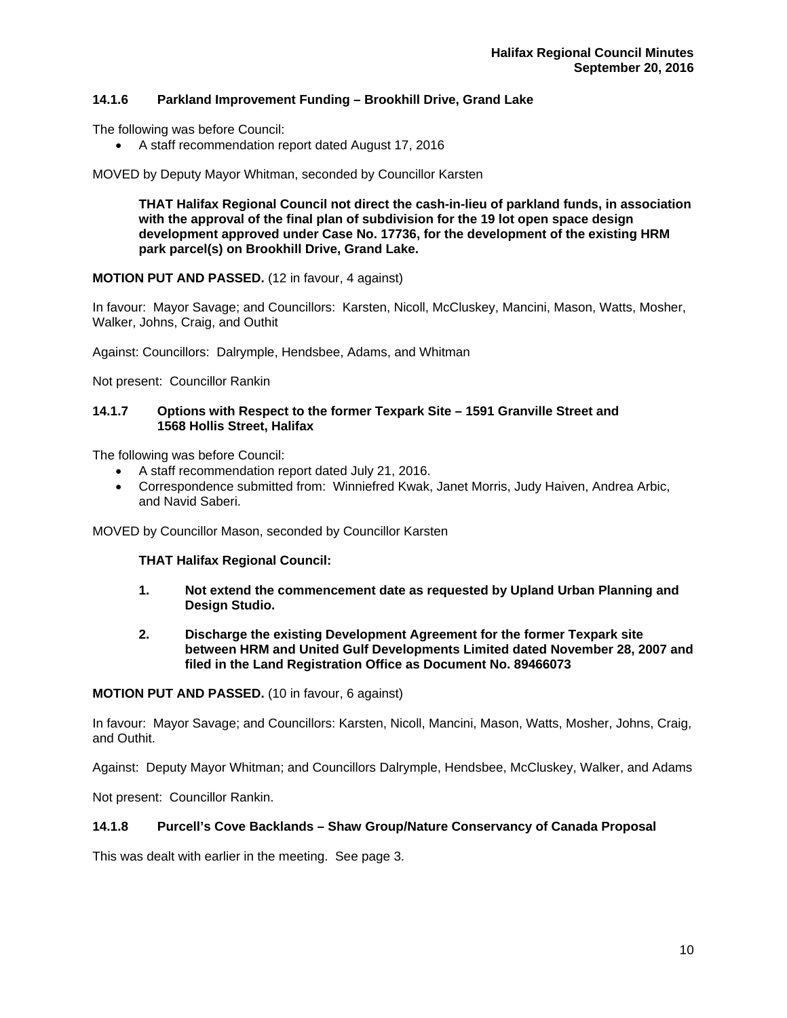# **14.1.6 Parkland Improvement Funding – Brookhill Drive, Grand Lake**

The following was before Council:

A staff recommendation report dated August 17, 2016

MOVED by Deputy Mayor Whitman, seconded by Councillor Karsten

**THAT Halifax Regional Council not direct the cash-in-lieu of parkland funds, in association with the approval of the final plan of subdivision for the 19 lot open space design development approved under Case No. 17736, for the development of the existing HRM park parcel(s) on Brookhill Drive, Grand Lake.** 

#### **MOTION PUT AND PASSED.** (12 in favour, 4 against)

In favour: Mayor Savage; and Councillors: Karsten, Nicoll, McCluskey, Mancini, Mason, Watts, Mosher, Walker, Johns, Craig, and Outhit

Against: Councillors: Dalrymple, Hendsbee, Adams, and Whitman

Not present: Councillor Rankin

#### **14.1.7 Options with Respect to the former Texpark Site – 1591 Granville Street and 1568 Hollis Street, Halifax**

The following was before Council:

- A staff recommendation report dated July 21, 2016.
- Correspondence submitted from: Winniefred Kwak, Janet Morris, Judy Haiven, Andrea Arbic, and Navid Saberi.

MOVED by Councillor Mason, seconded by Councillor Karsten

#### **THAT Halifax Regional Council:**

- **1. Not extend the commencement date as requested by Upland Urban Planning and Design Studio.**
- **2. Discharge the existing Development Agreement for the former Texpark site between HRM and United Gulf Developments Limited dated November 28, 2007 and filed in the Land Registration Office as Document No. 89466073**

#### **MOTION PUT AND PASSED.** (10 in favour, 6 against)

In favour: Mayor Savage; and Councillors: Karsten, Nicoll, Mancini, Mason, Watts, Mosher, Johns, Craig, and Outhit.

Against: Deputy Mayor Whitman; and Councillors Dalrymple, Hendsbee, McCluskey, Walker, and Adams

Not present: Councillor Rankin.

## **14.1.8 Purcell's Cove Backlands – Shaw Group/Nature Conservancy of Canada Proposal**

This was dealt with earlier in the meeting. See page 3.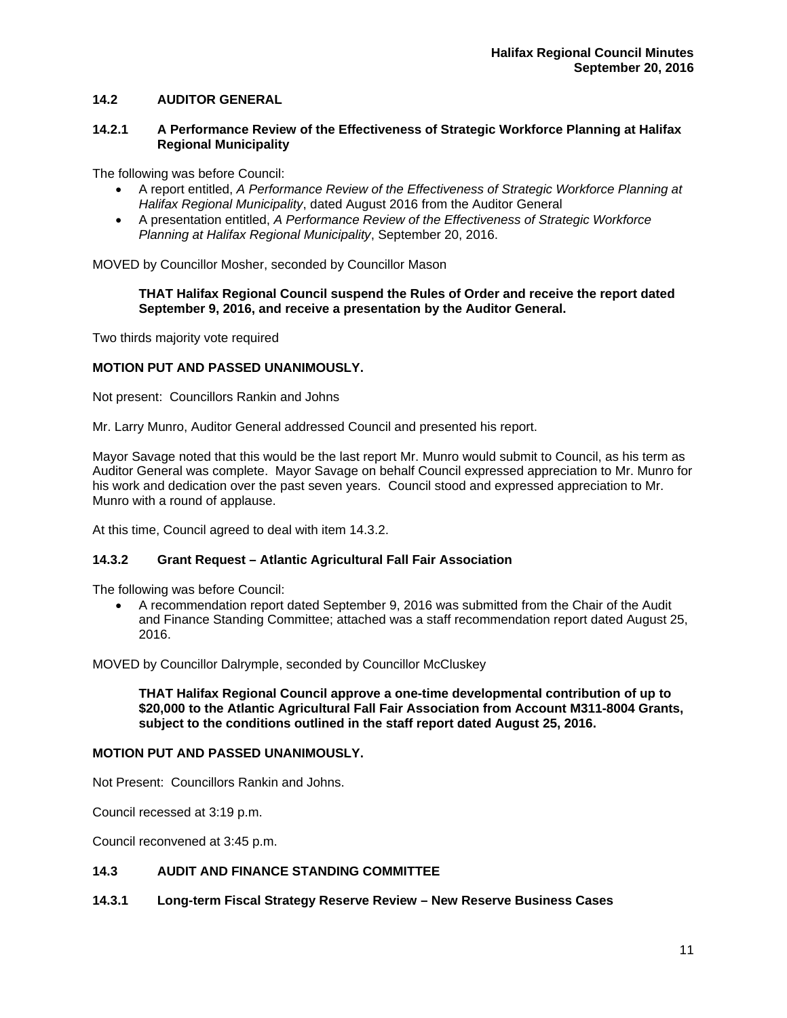# **14.2 AUDITOR GENERAL**

#### **14.2.1 A Performance Review of the Effectiveness of Strategic Workforce Planning at Halifax Regional Municipality**

The following was before Council:

- A report entitled, *A Performance Review of the Effectiveness of Strategic Workforce Planning at Halifax Regional Municipality*, dated August 2016 from the Auditor General
- A presentation entitled, *A Performance Review of the Effectiveness of Strategic Workforce Planning at Halifax Regional Municipality*, September 20, 2016.

MOVED by Councillor Mosher, seconded by Councillor Mason

#### **THAT Halifax Regional Council suspend the Rules of Order and receive the report dated September 9, 2016, and receive a presentation by the Auditor General.**

Two thirds majority vote required

#### **MOTION PUT AND PASSED UNANIMOUSLY.**

Not present: Councillors Rankin and Johns

Mr. Larry Munro, Auditor General addressed Council and presented his report.

Mayor Savage noted that this would be the last report Mr. Munro would submit to Council, as his term as Auditor General was complete. Mayor Savage on behalf Council expressed appreciation to Mr. Munro for his work and dedication over the past seven years. Council stood and expressed appreciation to Mr. Munro with a round of applause.

At this time, Council agreed to deal with item 14.3.2.

#### **14.3.2 Grant Request – Atlantic Agricultural Fall Fair Association**

The following was before Council:

 A recommendation report dated September 9, 2016 was submitted from the Chair of the Audit and Finance Standing Committee; attached was a staff recommendation report dated August 25, 2016.

MOVED by Councillor Dalrymple, seconded by Councillor McCluskey

**THAT Halifax Regional Council approve a one-time developmental contribution of up to \$20,000 to the Atlantic Agricultural Fall Fair Association from Account M311-8004 Grants, subject to the conditions outlined in the staff report dated August 25, 2016.** 

#### **MOTION PUT AND PASSED UNANIMOUSLY.**

Not Present: Councillors Rankin and Johns.

Council recessed at 3:19 p.m.

Council reconvened at 3:45 p.m.

## **14.3 AUDIT AND FINANCE STANDING COMMITTEE**

#### **14.3.1 Long-term Fiscal Strategy Reserve Review – New Reserve Business Cases**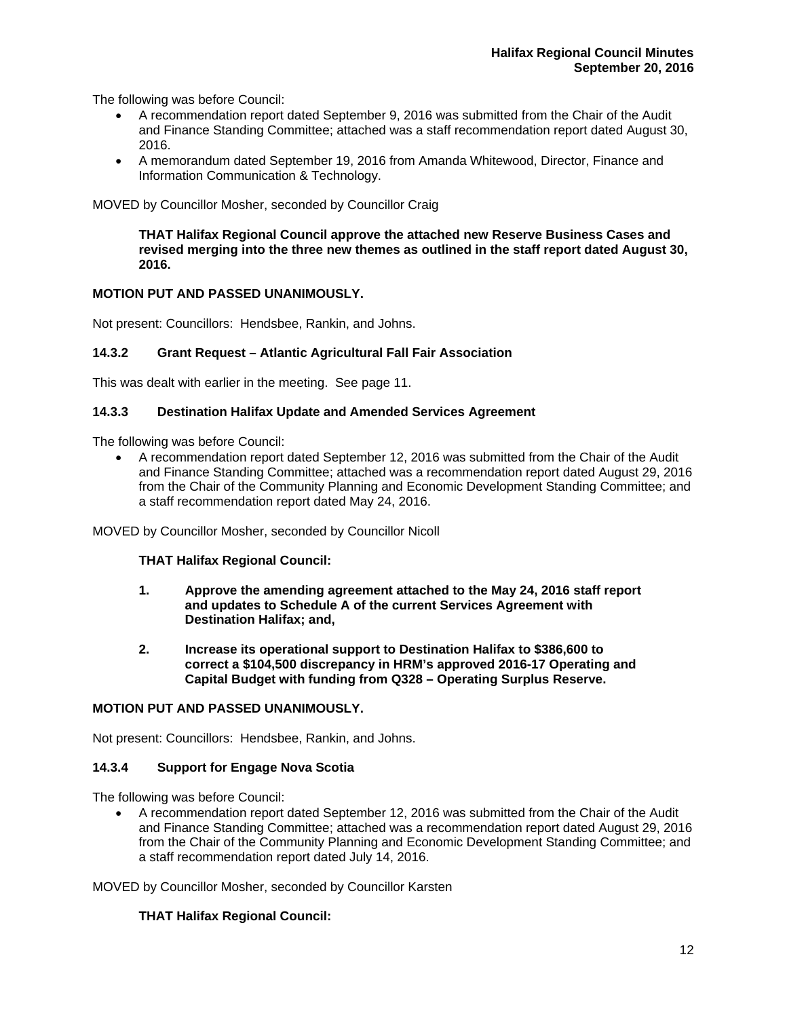The following was before Council:

- A recommendation report dated September 9, 2016 was submitted from the Chair of the Audit and Finance Standing Committee; attached was a staff recommendation report dated August 30, 2016.
- A memorandum dated September 19, 2016 from Amanda Whitewood, Director, Finance and Information Communication & Technology.

MOVED by Councillor Mosher, seconded by Councillor Craig

**THAT Halifax Regional Council approve the attached new Reserve Business Cases and revised merging into the three new themes as outlined in the staff report dated August 30, 2016.** 

#### **MOTION PUT AND PASSED UNANIMOUSLY.**

Not present: Councillors: Hendsbee, Rankin, and Johns.

# **14.3.2 Grant Request – Atlantic Agricultural Fall Fair Association**

This was dealt with earlier in the meeting. See page 11.

#### **14.3.3 Destination Halifax Update and Amended Services Agreement**

The following was before Council:

 A recommendation report dated September 12, 2016 was submitted from the Chair of the Audit and Finance Standing Committee; attached was a recommendation report dated August 29, 2016 from the Chair of the Community Planning and Economic Development Standing Committee; and a staff recommendation report dated May 24, 2016.

MOVED by Councillor Mosher, seconded by Councillor Nicoll

#### **THAT Halifax Regional Council:**

- **1. Approve the amending agreement attached to the May 24, 2016 staff report and updates to Schedule A of the current Services Agreement with Destination Halifax; and,**
- **2. Increase its operational support to Destination Halifax to \$386,600 to correct a \$104,500 discrepancy in HRM's approved 2016-17 Operating and Capital Budget with funding from Q328 – Operating Surplus Reserve.**

# **MOTION PUT AND PASSED UNANIMOUSLY.**

Not present: Councillors: Hendsbee, Rankin, and Johns.

#### **14.3.4 Support for Engage Nova Scotia**

The following was before Council:

 A recommendation report dated September 12, 2016 was submitted from the Chair of the Audit and Finance Standing Committee; attached was a recommendation report dated August 29, 2016 from the Chair of the Community Planning and Economic Development Standing Committee; and a staff recommendation report dated July 14, 2016.

MOVED by Councillor Mosher, seconded by Councillor Karsten

#### **THAT Halifax Regional Council:**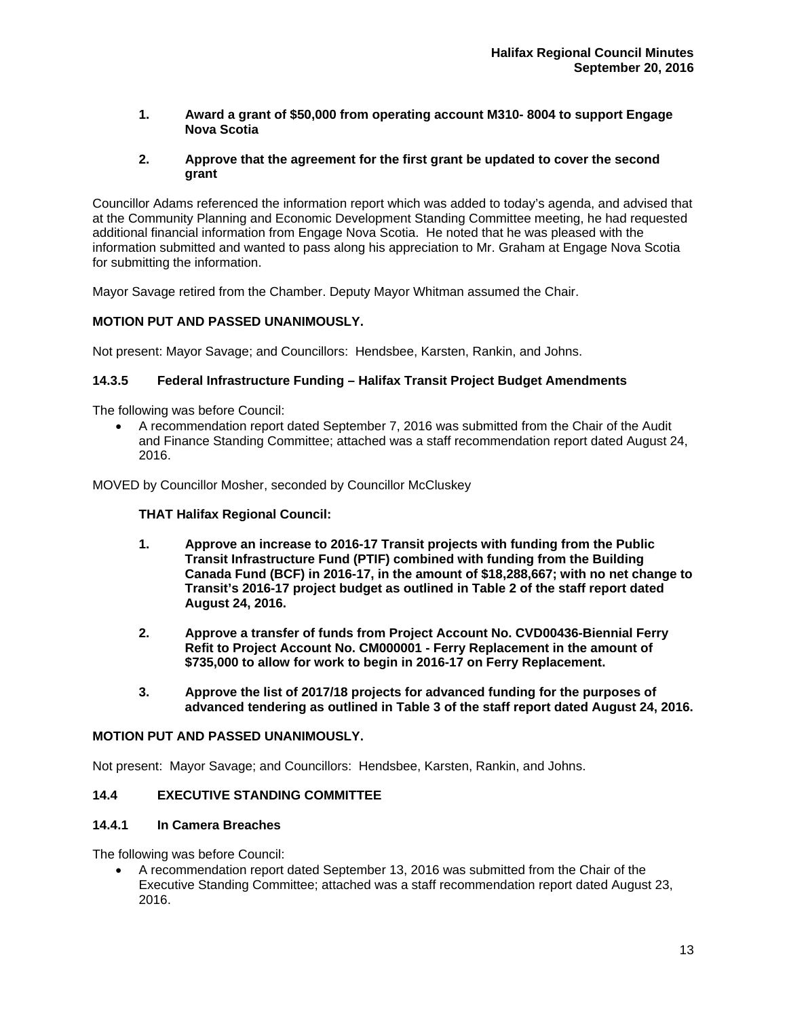**1. Award a grant of \$50,000 from operating account M310- 8004 to support Engage Nova Scotia** 

## **2. Approve that the agreement for the first grant be updated to cover the second grant**

Councillor Adams referenced the information report which was added to today's agenda, and advised that at the Community Planning and Economic Development Standing Committee meeting, he had requested additional financial information from Engage Nova Scotia. He noted that he was pleased with the information submitted and wanted to pass along his appreciation to Mr. Graham at Engage Nova Scotia for submitting the information.

Mayor Savage retired from the Chamber. Deputy Mayor Whitman assumed the Chair.

# **MOTION PUT AND PASSED UNANIMOUSLY.**

Not present: Mayor Savage; and Councillors: Hendsbee, Karsten, Rankin, and Johns.

# **14.3.5 Federal Infrastructure Funding – Halifax Transit Project Budget Amendments**

The following was before Council:

 A recommendation report dated September 7, 2016 was submitted from the Chair of the Audit and Finance Standing Committee; attached was a staff recommendation report dated August 24, 2016.

MOVED by Councillor Mosher, seconded by Councillor McCluskey

## **THAT Halifax Regional Council:**

- **1. Approve an increase to 2016-17 Transit projects with funding from the Public Transit Infrastructure Fund (PTIF) combined with funding from the Building Canada Fund (BCF) in 2016-17, in the amount of \$18,288,667; with no net change to Transit's 2016-17 project budget as outlined in Table 2 of the staff report dated August 24, 2016.**
- **2. Approve a transfer of funds from Project Account No. CVD00436-Biennial Ferry Refit to Project Account No. CM000001 - Ferry Replacement in the amount of \$735,000 to allow for work to begin in 2016-17 on Ferry Replacement.**
- **3. Approve the list of 2017/18 projects for advanced funding for the purposes of advanced tendering as outlined in Table 3 of the staff report dated August 24, 2016.**

# **MOTION PUT AND PASSED UNANIMOUSLY.**

Not present: Mayor Savage; and Councillors: Hendsbee, Karsten, Rankin, and Johns.

# **14.4 EXECUTIVE STANDING COMMITTEE**

#### **14.4.1 In Camera Breaches**

The following was before Council:

 A recommendation report dated September 13, 2016 was submitted from the Chair of the Executive Standing Committee; attached was a staff recommendation report dated August 23, 2016.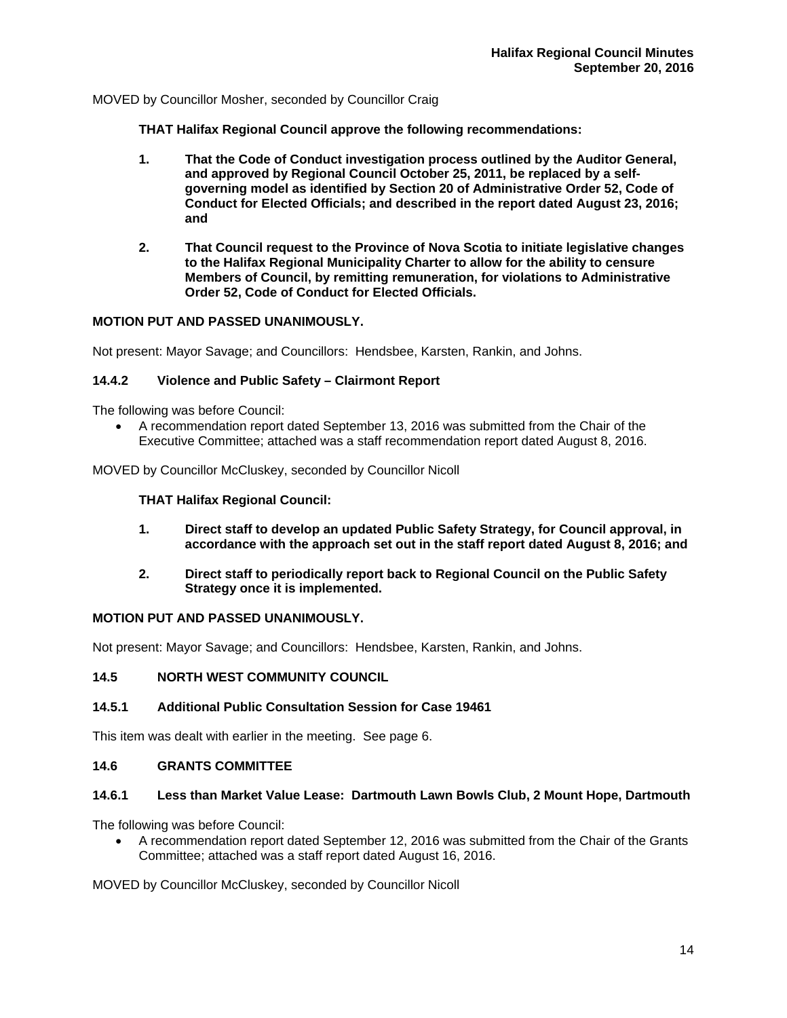MOVED by Councillor Mosher, seconded by Councillor Craig

**THAT Halifax Regional Council approve the following recommendations:** 

- **1. That the Code of Conduct investigation process outlined by the Auditor General, and approved by Regional Council October 25, 2011, be replaced by a self governing model as identified by Section 20 of Administrative Order 52, Code of Conduct for Elected Officials; and described in the report dated August 23, 2016; and**
- **2. That Council request to the Province of Nova Scotia to initiate legislative changes to the Halifax Regional Municipality Charter to allow for the ability to censure Members of Council, by remitting remuneration, for violations to Administrative Order 52, Code of Conduct for Elected Officials.**

# **MOTION PUT AND PASSED UNANIMOUSLY.**

Not present: Mayor Savage; and Councillors: Hendsbee, Karsten, Rankin, and Johns.

# **14.4.2 Violence and Public Safety – Clairmont Report**

The following was before Council:

 A recommendation report dated September 13, 2016 was submitted from the Chair of the Executive Committee; attached was a staff recommendation report dated August 8, 2016.

MOVED by Councillor McCluskey, seconded by Councillor Nicoll

# **THAT Halifax Regional Council:**

- **1. Direct staff to develop an updated Public Safety Strategy, for Council approval, in accordance with the approach set out in the staff report dated August 8, 2016; and**
- **2. Direct staff to periodically report back to Regional Council on the Public Safety Strategy once it is implemented.**

#### **MOTION PUT AND PASSED UNANIMOUSLY.**

Not present: Mayor Savage; and Councillors: Hendsbee, Karsten, Rankin, and Johns.

#### **14.5 NORTH WEST COMMUNITY COUNCIL**

# **14.5.1 Additional Public Consultation Session for Case 19461**

This item was dealt with earlier in the meeting. See page 6.

# **14.6 GRANTS COMMITTEE**

#### **14.6.1 Less than Market Value Lease: Dartmouth Lawn Bowls Club, 2 Mount Hope, Dartmouth**

The following was before Council:

 A recommendation report dated September 12, 2016 was submitted from the Chair of the Grants Committee; attached was a staff report dated August 16, 2016.

MOVED by Councillor McCluskey, seconded by Councillor Nicoll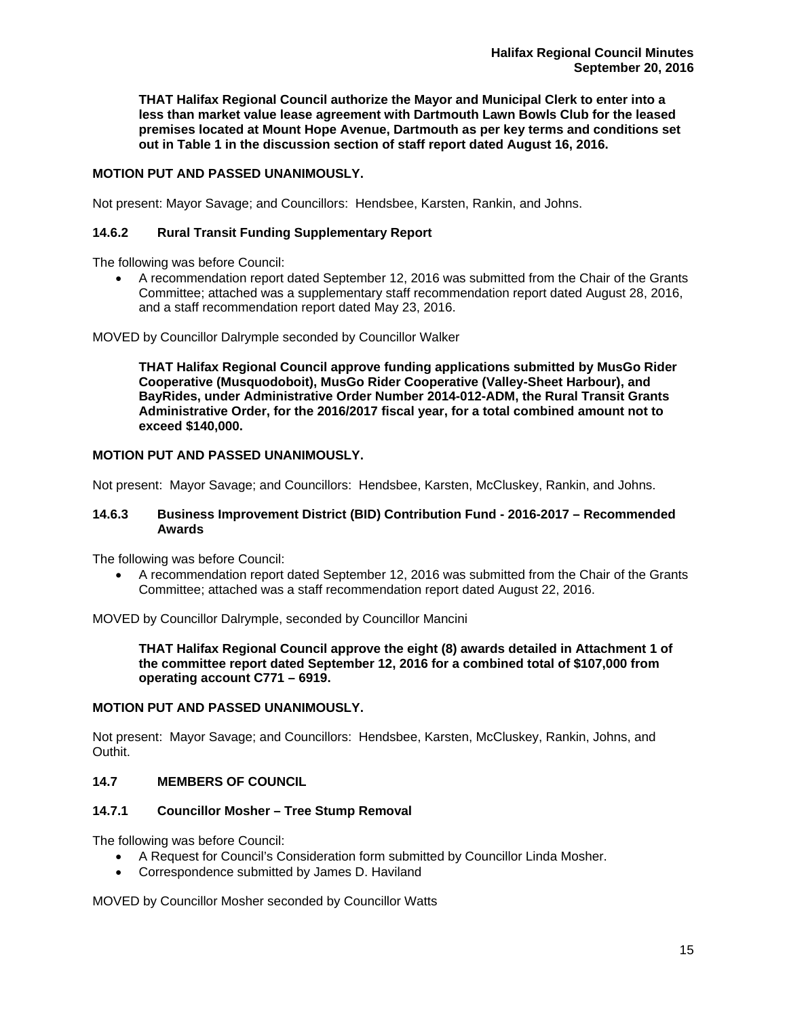**THAT Halifax Regional Council authorize the Mayor and Municipal Clerk to enter into a less than market value lease agreement with Dartmouth Lawn Bowls Club for the leased premises located at Mount Hope Avenue, Dartmouth as per key terms and conditions set out in Table 1 in the discussion section of staff report dated August 16, 2016.** 

# **MOTION PUT AND PASSED UNANIMOUSLY.**

Not present: Mayor Savage; and Councillors: Hendsbee, Karsten, Rankin, and Johns.

# **14.6.2 Rural Transit Funding Supplementary Report**

The following was before Council:

 A recommendation report dated September 12, 2016 was submitted from the Chair of the Grants Committee; attached was a supplementary staff recommendation report dated August 28, 2016, and a staff recommendation report dated May 23, 2016.

MOVED by Councillor Dalrymple seconded by Councillor Walker

**THAT Halifax Regional Council approve funding applications submitted by MusGo Rider Cooperative (Musquodoboit), MusGo Rider Cooperative (Valley-Sheet Harbour), and BayRides, under Administrative Order Number 2014-012-ADM, the Rural Transit Grants Administrative Order, for the 2016/2017 fiscal year, for a total combined amount not to exceed \$140,000.** 

#### **MOTION PUT AND PASSED UNANIMOUSLY.**

Not present: Mayor Savage; and Councillors: Hendsbee, Karsten, McCluskey, Rankin, and Johns.

#### **14.6.3 Business Improvement District (BID) Contribution Fund - 2016-2017 – Recommended Awards**

The following was before Council:

 A recommendation report dated September 12, 2016 was submitted from the Chair of the Grants Committee; attached was a staff recommendation report dated August 22, 2016.

MOVED by Councillor Dalrymple, seconded by Councillor Mancini

**THAT Halifax Regional Council approve the eight (8) awards detailed in Attachment 1 of the committee report dated September 12, 2016 for a combined total of \$107,000 from operating account C771 – 6919.** 

# **MOTION PUT AND PASSED UNANIMOUSLY.**

Not present: Mayor Savage; and Councillors: Hendsbee, Karsten, McCluskey, Rankin, Johns, and Outhit.

#### **14.7 MEMBERS OF COUNCIL**

#### **14.7.1 Councillor Mosher – Tree Stump Removal**

The following was before Council:

- A Request for Council's Consideration form submitted by Councillor Linda Mosher.
- Correspondence submitted by James D. Haviland

MOVED by Councillor Mosher seconded by Councillor Watts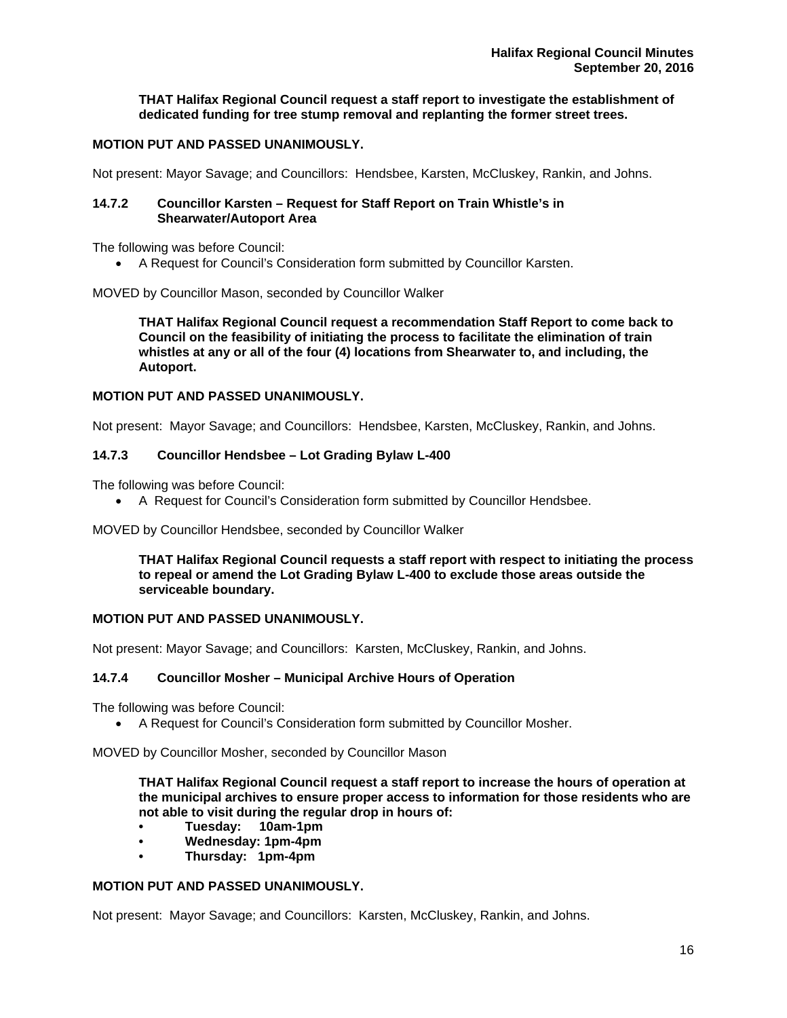**THAT Halifax Regional Council request a staff report to investigate the establishment of dedicated funding for tree stump removal and replanting the former street trees.** 

# **MOTION PUT AND PASSED UNANIMOUSLY.**

Not present: Mayor Savage; and Councillors: Hendsbee, Karsten, McCluskey, Rankin, and Johns.

#### **14.7.2 Councillor Karsten – Request for Staff Report on Train Whistle's in Shearwater/Autoport Area**

The following was before Council:

A Request for Council's Consideration form submitted by Councillor Karsten.

MOVED by Councillor Mason, seconded by Councillor Walker

**THAT Halifax Regional Council request a recommendation Staff Report to come back to Council on the feasibility of initiating the process to facilitate the elimination of train whistles at any or all of the four (4) locations from Shearwater to, and including, the Autoport.** 

# **MOTION PUT AND PASSED UNANIMOUSLY.**

Not present: Mayor Savage; and Councillors: Hendsbee, Karsten, McCluskey, Rankin, and Johns.

#### **14.7.3 Councillor Hendsbee – Lot Grading Bylaw L-400**

The following was before Council:

A Request for Council's Consideration form submitted by Councillor Hendsbee.

MOVED by Councillor Hendsbee, seconded by Councillor Walker

**THAT Halifax Regional Council requests a staff report with respect to initiating the process to repeal or amend the Lot Grading Bylaw L-400 to exclude those areas outside the serviceable boundary.** 

#### **MOTION PUT AND PASSED UNANIMOUSLY.**

Not present: Mayor Savage; and Councillors: Karsten, McCluskey, Rankin, and Johns.

# **14.7.4 Councillor Mosher – Municipal Archive Hours of Operation**

The following was before Council:

A Request for Council's Consideration form submitted by Councillor Mosher.

MOVED by Councillor Mosher, seconded by Councillor Mason

**THAT Halifax Regional Council request a staff report to increase the hours of operation at the municipal archives to ensure proper access to information for those residents who are not able to visit during the regular drop in hours of:** 

- **Tuesday: 10am-1pm**
- **Wednesday: 1pm-4pm**
- **Thursday: 1pm-4pm**

#### **MOTION PUT AND PASSED UNANIMOUSLY.**

Not present: Mayor Savage; and Councillors: Karsten, McCluskey, Rankin, and Johns.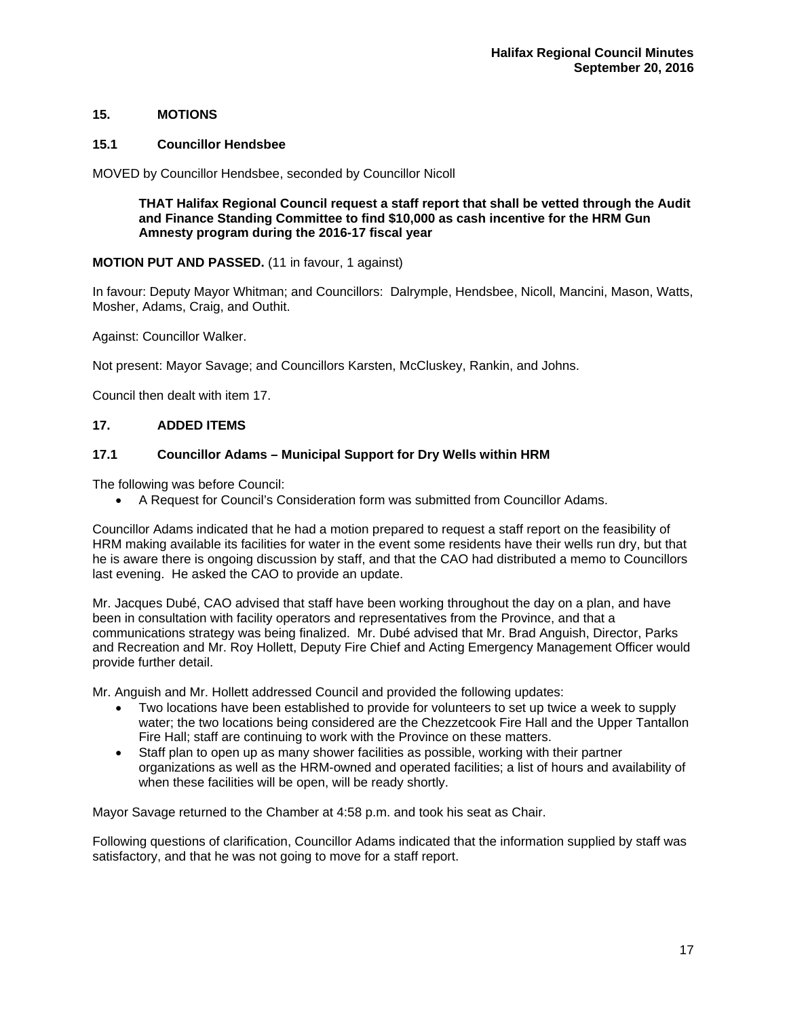# **15. MOTIONS**

## **15.1 Councillor Hendsbee**

MOVED by Councillor Hendsbee, seconded by Councillor Nicoll

**THAT Halifax Regional Council request a staff report that shall be vetted through the Audit and Finance Standing Committee to find \$10,000 as cash incentive for the HRM Gun Amnesty program during the 2016-17 fiscal year** 

# **MOTION PUT AND PASSED.** (11 in favour, 1 against)

In favour: Deputy Mayor Whitman; and Councillors: Dalrymple, Hendsbee, Nicoll, Mancini, Mason, Watts, Mosher, Adams, Craig, and Outhit.

Against: Councillor Walker.

Not present: Mayor Savage; and Councillors Karsten, McCluskey, Rankin, and Johns.

Council then dealt with item 17.

# **17. ADDED ITEMS**

# **17.1 Councillor Adams – Municipal Support for Dry Wells within HRM**

The following was before Council:

A Request for Council's Consideration form was submitted from Councillor Adams.

Councillor Adams indicated that he had a motion prepared to request a staff report on the feasibility of HRM making available its facilities for water in the event some residents have their wells run dry, but that he is aware there is ongoing discussion by staff, and that the CAO had distributed a memo to Councillors last evening. He asked the CAO to provide an update.

Mr. Jacques Dubé, CAO advised that staff have been working throughout the day on a plan, and have been in consultation with facility operators and representatives from the Province, and that a communications strategy was being finalized. Mr. Dubé advised that Mr. Brad Anguish, Director, Parks and Recreation and Mr. Roy Hollett, Deputy Fire Chief and Acting Emergency Management Officer would provide further detail.

Mr. Anguish and Mr. Hollett addressed Council and provided the following updates:

- Two locations have been established to provide for volunteers to set up twice a week to supply water; the two locations being considered are the Chezzetcook Fire Hall and the Upper Tantallon Fire Hall; staff are continuing to work with the Province on these matters.
- Staff plan to open up as many shower facilities as possible, working with their partner organizations as well as the HRM-owned and operated facilities; a list of hours and availability of when these facilities will be open, will be ready shortly.

Mayor Savage returned to the Chamber at 4:58 p.m. and took his seat as Chair.

Following questions of clarification, Councillor Adams indicated that the information supplied by staff was satisfactory, and that he was not going to move for a staff report.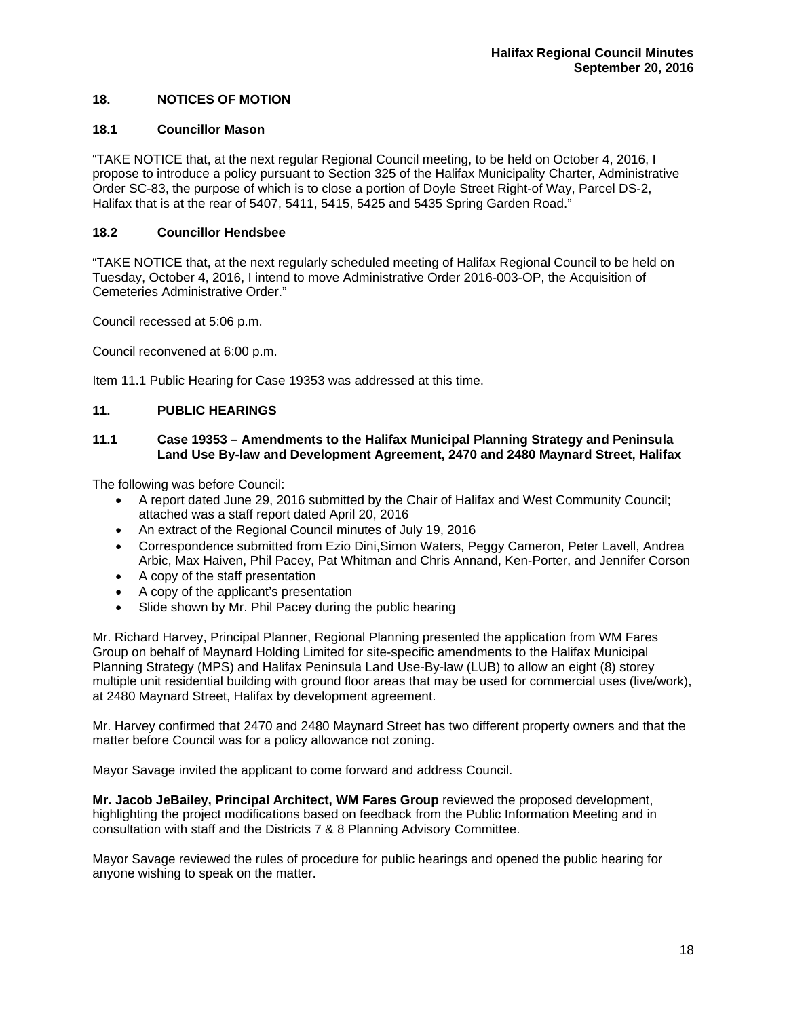# **18. NOTICES OF MOTION**

#### **18.1 Councillor Mason**

"TAKE NOTICE that, at the next regular Regional Council meeting, to be held on October 4, 2016, I propose to introduce a policy pursuant to Section 325 of the Halifax Municipality Charter, Administrative Order SC-83, the purpose of which is to close a portion of Doyle Street Right-of Way, Parcel DS-2, Halifax that is at the rear of 5407, 5411, 5415, 5425 and 5435 Spring Garden Road."

# **18.2 Councillor Hendsbee**

"TAKE NOTICE that, at the next regularly scheduled meeting of Halifax Regional Council to be held on Tuesday, October 4, 2016, I intend to move Administrative Order 2016-003-OP, the Acquisition of Cemeteries Administrative Order."

Council recessed at 5:06 p.m.

Council reconvened at 6:00 p.m.

Item 11.1 Public Hearing for Case 19353 was addressed at this time.

# **11. PUBLIC HEARINGS**

## **11.1 Case 19353 – Amendments to the Halifax Municipal Planning Strategy and Peninsula Land Use By-law and Development Agreement, 2470 and 2480 Maynard Street, Halifax**

The following was before Council:

- A report dated June 29, 2016 submitted by the Chair of Halifax and West Community Council; attached was a staff report dated April 20, 2016
- An extract of the Regional Council minutes of July 19, 2016
- Correspondence submitted from Ezio Dini,Simon Waters, Peggy Cameron, Peter Lavell, Andrea Arbic, Max Haiven, Phil Pacey, Pat Whitman and Chris Annand, Ken-Porter, and Jennifer Corson
- A copy of the staff presentation
- A copy of the applicant's presentation
- Slide shown by Mr. Phil Pacey during the public hearing

Mr. Richard Harvey, Principal Planner, Regional Planning presented the application from WM Fares Group on behalf of Maynard Holding Limited for site-specific amendments to the Halifax Municipal Planning Strategy (MPS) and Halifax Peninsula Land Use-By-law (LUB) to allow an eight (8) storey multiple unit residential building with ground floor areas that may be used for commercial uses (live/work), at 2480 Maynard Street, Halifax by development agreement.

Mr. Harvey confirmed that 2470 and 2480 Maynard Street has two different property owners and that the matter before Council was for a policy allowance not zoning.

Mayor Savage invited the applicant to come forward and address Council.

**Mr. Jacob JeBailey, Principal Architect, WM Fares Group** reviewed the proposed development, highlighting the project modifications based on feedback from the Public Information Meeting and in consultation with staff and the Districts 7 & 8 Planning Advisory Committee.

Mayor Savage reviewed the rules of procedure for public hearings and opened the public hearing for anyone wishing to speak on the matter.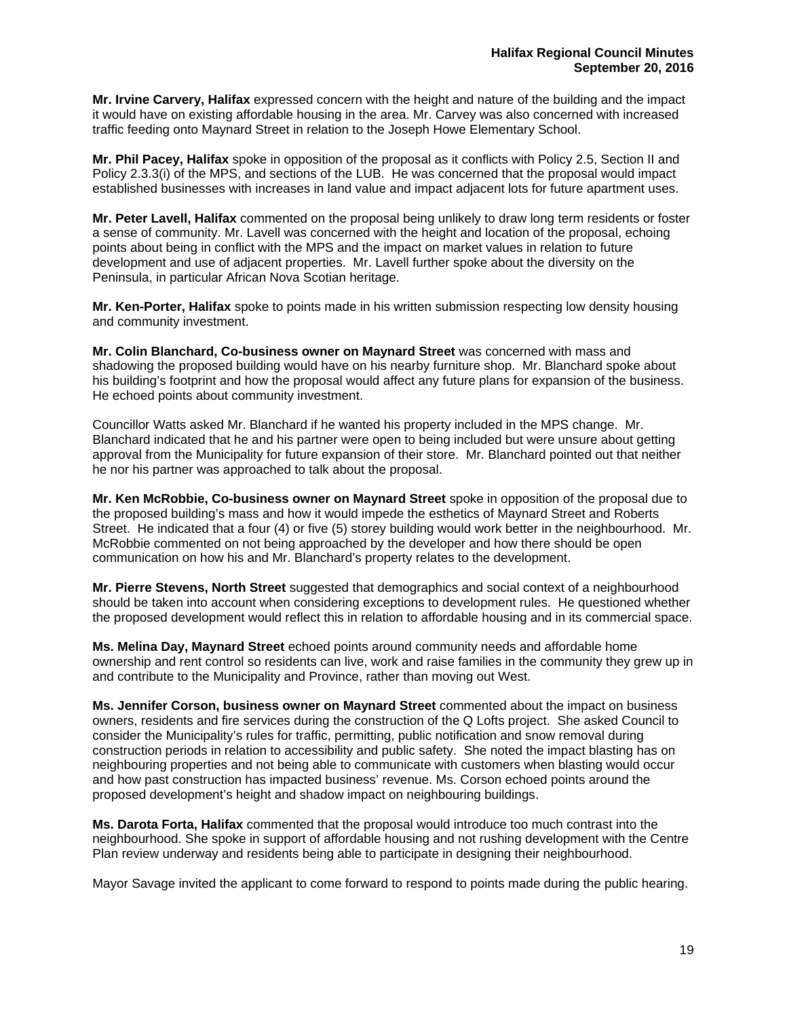**Mr. Irvine Carvery, Halifax** expressed concern with the height and nature of the building and the impact it would have on existing affordable housing in the area. Mr. Carvey was also concerned with increased traffic feeding onto Maynard Street in relation to the Joseph Howe Elementary School.

**Mr. Phil Pacey, Halifax** spoke in opposition of the proposal as it conflicts with Policy 2.5, Section II and Policy 2.3.3(i) of the MPS, and sections of the LUB. He was concerned that the proposal would impact established businesses with increases in land value and impact adjacent lots for future apartment uses.

**Mr. Peter Lavell, Halifax** commented on the proposal being unlikely to draw long term residents or foster a sense of community. Mr. Lavell was concerned with the height and location of the proposal, echoing points about being in conflict with the MPS and the impact on market values in relation to future development and use of adjacent properties. Mr. Lavell further spoke about the diversity on the Peninsula, in particular African Nova Scotian heritage.

**Mr. Ken-Porter, Halifax** spoke to points made in his written submission respecting low density housing and community investment.

**Mr. Colin Blanchard, Co-business owner on Maynard Street** was concerned with mass and shadowing the proposed building would have on his nearby furniture shop. Mr. Blanchard spoke about his building's footprint and how the proposal would affect any future plans for expansion of the business. He echoed points about community investment.

Councillor Watts asked Mr. Blanchard if he wanted his property included in the MPS change. Mr. Blanchard indicated that he and his partner were open to being included but were unsure about getting approval from the Municipality for future expansion of their store. Mr. Blanchard pointed out that neither he nor his partner was approached to talk about the proposal.

**Mr. Ken McRobbie, Co-business owner on Maynard Street** spoke in opposition of the proposal due to the proposed building's mass and how it would impede the esthetics of Maynard Street and Roberts Street. He indicated that a four (4) or five (5) storey building would work better in the neighbourhood. Mr. McRobbie commented on not being approached by the developer and how there should be open communication on how his and Mr. Blanchard's property relates to the development.

**Mr. Pierre Stevens, North Street** suggested that demographics and social context of a neighbourhood should be taken into account when considering exceptions to development rules. He questioned whether the proposed development would reflect this in relation to affordable housing and in its commercial space.

**Ms. Melina Day, Maynard Street** echoed points around community needs and affordable home ownership and rent control so residents can live, work and raise families in the community they grew up in and contribute to the Municipality and Province, rather than moving out West.

**Ms. Jennifer Corson, business owner on Maynard Street** commented about the impact on business owners, residents and fire services during the construction of the Q Lofts project. She asked Council to consider the Municipality's rules for traffic, permitting, public notification and snow removal during construction periods in relation to accessibility and public safety. She noted the impact blasting has on neighbouring properties and not being able to communicate with customers when blasting would occur and how past construction has impacted business' revenue. Ms. Corson echoed points around the proposed development's height and shadow impact on neighbouring buildings.

**Ms. Darota Forta, Halifax** commented that the proposal would introduce too much contrast into the neighbourhood. She spoke in support of affordable housing and not rushing development with the Centre Plan review underway and residents being able to participate in designing their neighbourhood.

Mayor Savage invited the applicant to come forward to respond to points made during the public hearing.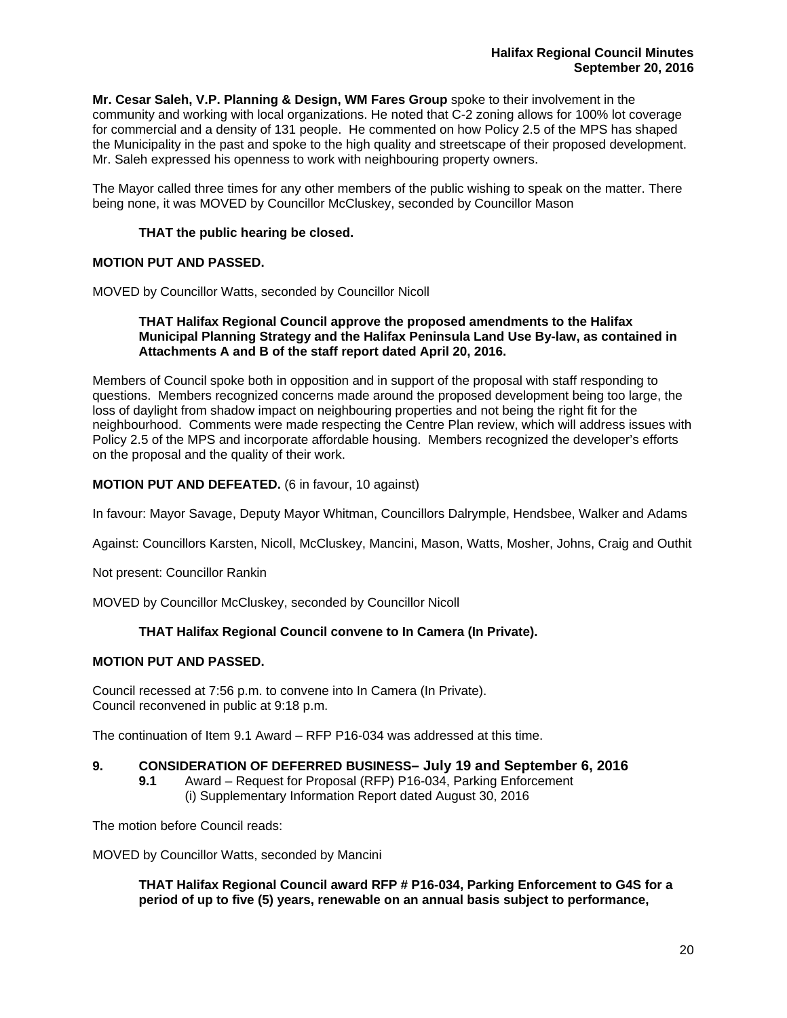**Mr. Cesar Saleh, V.P. Planning & Design, WM Fares Group** spoke to their involvement in the community and working with local organizations. He noted that C-2 zoning allows for 100% lot coverage for commercial and a density of 131 people. He commented on how Policy 2.5 of the MPS has shaped the Municipality in the past and spoke to the high quality and streetscape of their proposed development. Mr. Saleh expressed his openness to work with neighbouring property owners.

The Mayor called three times for any other members of the public wishing to speak on the matter. There being none, it was MOVED by Councillor McCluskey, seconded by Councillor Mason

# **THAT the public hearing be closed.**

# **MOTION PUT AND PASSED.**

MOVED by Councillor Watts, seconded by Councillor Nicoll

#### **THAT Halifax Regional Council approve the proposed amendments to the Halifax Municipal Planning Strategy and the Halifax Peninsula Land Use By-law, as contained in Attachments A and B of the staff report dated April 20, 2016.**

Members of Council spoke both in opposition and in support of the proposal with staff responding to questions. Members recognized concerns made around the proposed development being too large, the loss of daylight from shadow impact on neighbouring properties and not being the right fit for the neighbourhood. Comments were made respecting the Centre Plan review, which will address issues with Policy 2.5 of the MPS and incorporate affordable housing. Members recognized the developer's efforts on the proposal and the quality of their work.

# **MOTION PUT AND DEFEATED.** (6 in favour, 10 against)

In favour: Mayor Savage, Deputy Mayor Whitman, Councillors Dalrymple, Hendsbee, Walker and Adams

Against: Councillors Karsten, Nicoll, McCluskey, Mancini, Mason, Watts, Mosher, Johns, Craig and Outhit

Not present: Councillor Rankin

MOVED by Councillor McCluskey, seconded by Councillor Nicoll

#### **THAT Halifax Regional Council convene to In Camera (In Private).**

#### **MOTION PUT AND PASSED.**

Council recessed at 7:56 p.m. to convene into In Camera (In Private). Council reconvened in public at 9:18 p.m.

The continuation of Item 9.1 Award – RFP P16-034 was addressed at this time.

# **9. CONSIDERATION OF DEFERRED BUSINESS– July 19 and September 6, 2016**

**9.1** Award – Request for Proposal (RFP) P16-034, Parking Enforcement (i) Supplementary Information Report dated August 30, 2016

The motion before Council reads:

MOVED by Councillor Watts, seconded by Mancini

**THAT Halifax Regional Council award RFP # P16-034, Parking Enforcement to G4S for a period of up to five (5) years, renewable on an annual basis subject to performance,**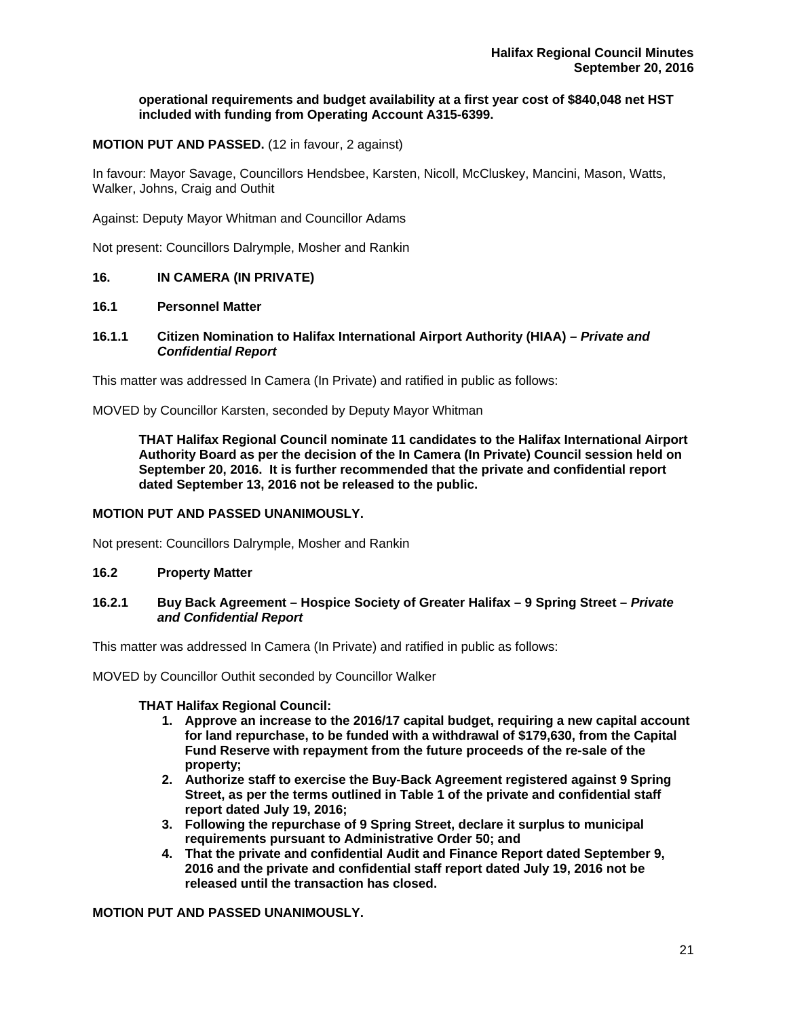#### **operational requirements and budget availability at a first year cost of \$840,048 net HST included with funding from Operating Account A315-6399.**

# **MOTION PUT AND PASSED.** (12 in favour, 2 against)

In favour: Mayor Savage, Councillors Hendsbee, Karsten, Nicoll, McCluskey, Mancini, Mason, Watts, Walker, Johns, Craig and Outhit

Against: Deputy Mayor Whitman and Councillor Adams

Not present: Councillors Dalrymple, Mosher and Rankin

# **16. IN CAMERA (IN PRIVATE)**

#### **16.1 Personnel Matter**

#### **16.1.1****Citizen Nomination to Halifax International Airport Authority (HIAA)** *– Private and Confidential Report*

This matter was addressed In Camera (In Private) and ratified in public as follows:

MOVED by Councillor Karsten, seconded by Deputy Mayor Whitman

**THAT Halifax Regional Council nominate 11 candidates to the Halifax International Airport Authority Board as per the decision of the In Camera (In Private) Council session held on September 20, 2016. It is further recommended that the private and confidential report dated September 13, 2016 not be released to the public.** 

#### **MOTION PUT AND PASSED UNANIMOUSLY.**

Not present: Councillors Dalrymple, Mosher and Rankin

#### **16.2 Property Matter**

#### **16.2.1 Buy Back Agreement – Hospice Society of Greater Halifax – 9 Spring Street –** *Private and Confidential Report*

This matter was addressed In Camera (In Private) and ratified in public as follows:

MOVED by Councillor Outhit seconded by Councillor Walker

#### **THAT Halifax Regional Council:**

- **1. Approve an increase to the 2016/17 capital budget, requiring a new capital account for land repurchase, to be funded with a withdrawal of \$179,630, from the Capital Fund Reserve with repayment from the future proceeds of the re-sale of the property;**
- **2. Authorize staff to exercise the Buy-Back Agreement registered against 9 Spring Street, as per the terms outlined in Table 1 of the private and confidential staff report dated July 19, 2016;**
- **3. Following the repurchase of 9 Spring Street, declare it surplus to municipal requirements pursuant to Administrative Order 50; and**
- **4. That the private and confidential Audit and Finance Report dated September 9, 2016 and the private and confidential staff report dated July 19, 2016 not be released until the transaction has closed.**

**MOTION PUT AND PASSED UNANIMOUSLY.**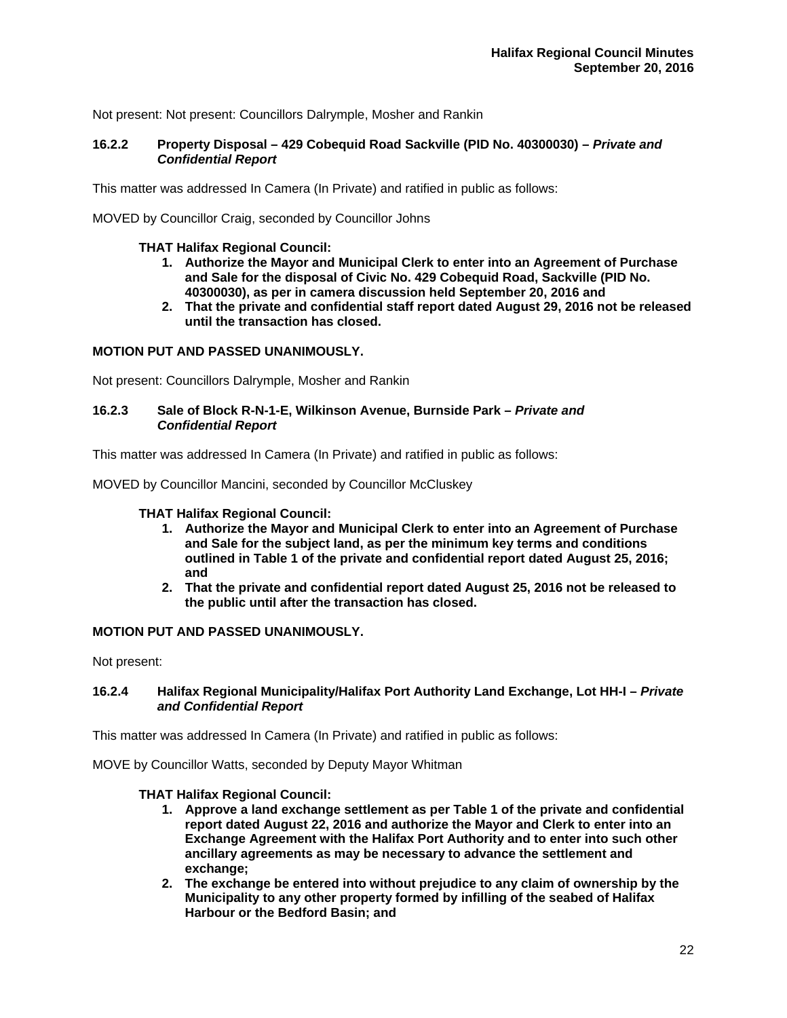Not present: Not present: Councillors Dalrymple, Mosher and Rankin

# **16.2.2 Property Disposal – 429 Cobequid Road Sackville (PID No. 40300030) –** *Private and Confidential Report*

This matter was addressed In Camera (In Private) and ratified in public as follows:

MOVED by Councillor Craig, seconded by Councillor Johns

# **THAT Halifax Regional Council:**

- **1. Authorize the Mayor and Municipal Clerk to enter into an Agreement of Purchase and Sale for the disposal of Civic No. 429 Cobequid Road, Sackville (PID No. 40300030), as per in camera discussion held September 20, 2016 and**
- **2. That the private and confidential staff report dated August 29, 2016 not be released until the transaction has closed.**

# **MOTION PUT AND PASSED UNANIMOUSLY.**

Not present: Councillors Dalrymple, Mosher and Rankin

## **16.2.3 Sale of Block R-N-1-E, Wilkinson Avenue, Burnside Park –** *Private and Confidential Report*

This matter was addressed In Camera (In Private) and ratified in public as follows:

MOVED by Councillor Mancini, seconded by Councillor McCluskey

#### **THAT Halifax Regional Council:**

- **1. Authorize the Mayor and Municipal Clerk to enter into an Agreement of Purchase and Sale for the subject land, as per the minimum key terms and conditions outlined in Table 1 of the private and confidential report dated August 25, 2016; and**
- **2. That the private and confidential report dated August 25, 2016 not be released to the public until after the transaction has closed.**

#### **MOTION PUT AND PASSED UNANIMOUSLY.**

Not present:

#### **16.2.4 Halifax Regional Municipality/Halifax Port Authority Land Exchange, Lot HH-I –** *Private and Confidential Report*

This matter was addressed In Camera (In Private) and ratified in public as follows:

MOVE by Councillor Watts, seconded by Deputy Mayor Whitman

#### **THAT Halifax Regional Council:**

- **1. Approve a land exchange settlement as per Table 1 of the private and confidential report dated August 22, 2016 and authorize the Mayor and Clerk to enter into an Exchange Agreement with the Halifax Port Authority and to enter into such other ancillary agreements as may be necessary to advance the settlement and exchange;**
- **2. The exchange be entered into without prejudice to any claim of ownership by the Municipality to any other property formed by infilling of the seabed of Halifax Harbour or the Bedford Basin; and**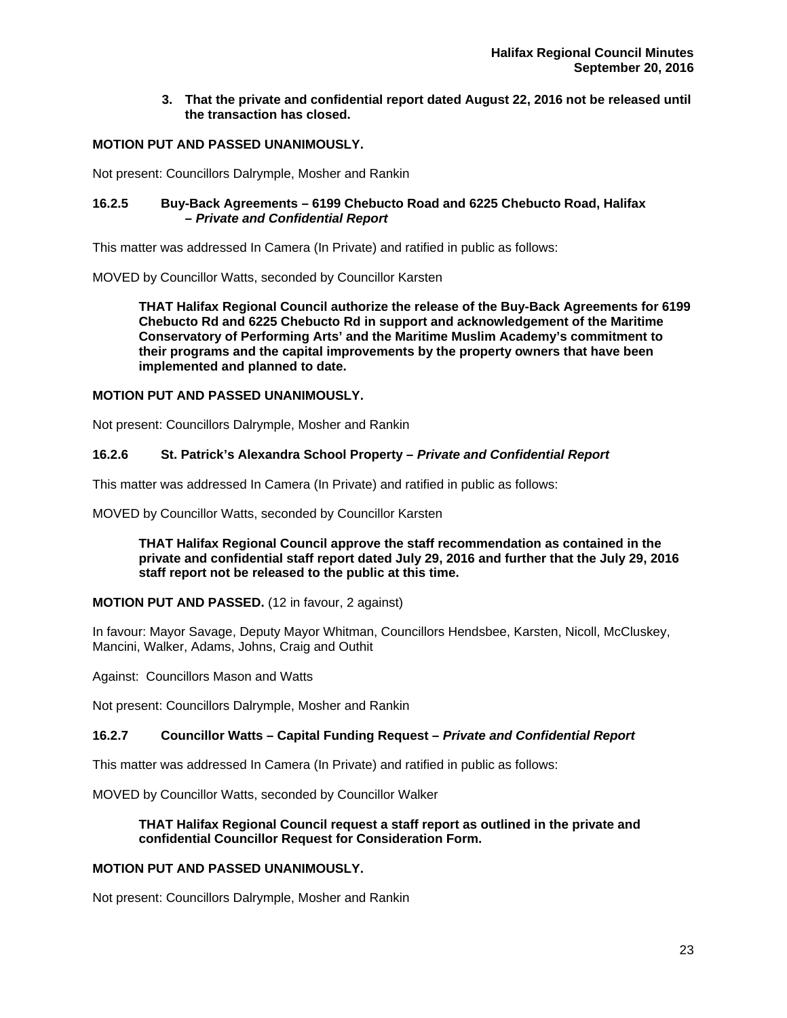# **3. That the private and confidential report dated August 22, 2016 not be released until the transaction has closed.**

# **MOTION PUT AND PASSED UNANIMOUSLY.**

Not present: Councillors Dalrymple, Mosher and Rankin

# **16.2.5 Buy-Back Agreements – 6199 Chebucto Road and 6225 Chebucto Road, Halifax –** *Private and Confidential Report*

This matter was addressed In Camera (In Private) and ratified in public as follows:

MOVED by Councillor Watts, seconded by Councillor Karsten

**THAT Halifax Regional Council authorize the release of the Buy-Back Agreements for 6199 Chebucto Rd and 6225 Chebucto Rd in support and acknowledgement of the Maritime Conservatory of Performing Arts' and the Maritime Muslim Academy's commitment to their programs and the capital improvements by the property owners that have been implemented and planned to date.** 

# **MOTION PUT AND PASSED UNANIMOUSLY.**

Not present: Councillors Dalrymple, Mosher and Rankin

# **16.2.6 St. Patrick's Alexandra School Property –** *Private and Confidential Report*

This matter was addressed In Camera (In Private) and ratified in public as follows:

MOVED by Councillor Watts, seconded by Councillor Karsten

**THAT Halifax Regional Council approve the staff recommendation as contained in the private and confidential staff report dated July 29, 2016 and further that the July 29, 2016 staff report not be released to the public at this time.** 

#### **MOTION PUT AND PASSED.** (12 in favour, 2 against)

In favour: Mayor Savage, Deputy Mayor Whitman, Councillors Hendsbee, Karsten, Nicoll, McCluskey, Mancini, Walker, Adams, Johns, Craig and Outhit

Against: Councillors Mason and Watts

Not present: Councillors Dalrymple, Mosher and Rankin

#### **16.2.7 Councillor Watts – Capital Funding Request –** *Private and Confidential Report*

This matter was addressed In Camera (In Private) and ratified in public as follows:

MOVED by Councillor Watts, seconded by Councillor Walker

# **THAT Halifax Regional Council request a staff report as outlined in the private and confidential Councillor Request for Consideration Form.**

# **MOTION PUT AND PASSED UNANIMOUSLY.**

Not present: Councillors Dalrymple, Mosher and Rankin